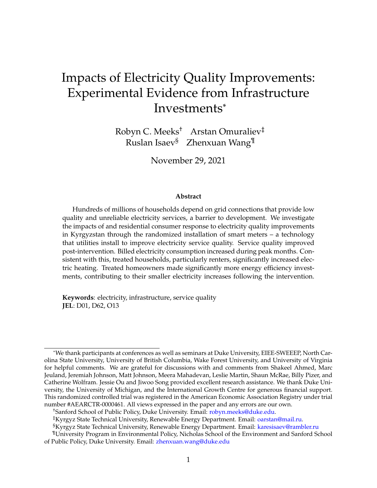# Impacts of Electricity Quality Improvements: Experimental Evidence from Infrastructure Investments\*

Robyn C. Meeks† Arstan Omuraliev‡ Ruslan Isaev§ Zhenxuan Wang¶

November 29, 2021

#### **Abstract**

Hundreds of millions of households depend on grid connections that provide low quality and unreliable electricity services, a barrier to development. We investigate the impacts of and residential consumer response to electricity quality improvements in Kyrgyzstan through the randomized installation of smart meters – a technology that utilities install to improve electricity service quality. Service quality improved post-intervention. Billed electricity consumption increased during peak months. Consistent with this, treated households, particularly renters, significantly increased electric heating. Treated homeowners made significantly more energy efficiency investments, contributing to their smaller electricity increases following the intervention.

**Keywords**: electricity, infrastructure, service quality **JEL**: D01, D62, O13

†Sanford School of Public Policy, Duke University. Email: [robyn.meeks@duke.edu.](mailto:robyn.meeks@duke.edu)

<sup>\*</sup>We thank participants at conferences as well as seminars at Duke University, EIEE-SWEEEP, North Carolina State University, University of British Columbia, Wake Forest University, and University of Virginia for helpful comments. We are grateful for discussions with and comments from Shakeel Ahmed, Marc Jeuland, Jeremiah Johnson, Matt Johnson, Meera Mahadevan, Leslie Martin, Shaun McRae, Billy Pizer, and Catherine Wolfram. Jessie Ou and Jiwoo Song provided excellent research assistance. We thank Duke University, the University of Michigan, and the International Growth Centre for generous financial support. This randomized controlled trial was registered in the American Economic Association Registry under trial number #AEARCTR-0000461. All views expressed in the paper and any errors are our own.

<sup>‡</sup>Kyrgyz State Technical University, Renewable Energy Department. Email: [oarstan@mail.ru.](mailto:oarstan@mail.ru)

<sup>§</sup>Kyrgyz State Technical University, Renewable Energy Department. Email: [karesisaev@rambler.ru](mailto:karesisaev@rambler.ru)

<sup>¶</sup>University Program in Environmental Policy, Nicholas School of the Environment and Sanford School of Public Policy, Duke University. Email: [zhenxuan.wang@duke.edu](mailto:zhenxuan.wang@duke.edu)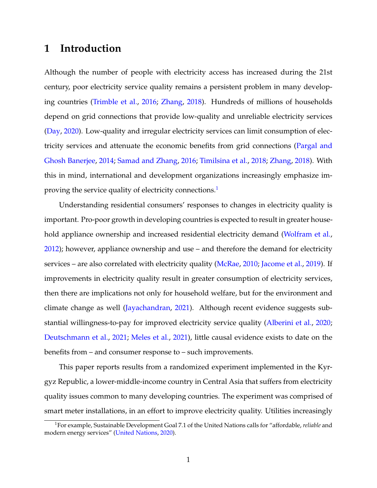## **1 Introduction**

Although the number of people with electricity access has increased during the 21st century, poor electricity service quality remains a persistent problem in many developing countries [\(Trimble et al.,](#page-32-0) [2016;](#page-32-0) [Zhang,](#page-33-0) [2018\)](#page-33-0). Hundreds of millions of households depend on grid connections that provide low-quality and unreliable electricity services [\(Day,](#page-29-0) [2020\)](#page-29-0). Low-quality and irregular electricity services can limit consumption of electricity services and attenuate the economic benefits from grid connections [\(Pargal and](#page-31-0) [Ghosh Banerjee,](#page-31-0) [2014;](#page-31-0) [Samad and Zhang,](#page-32-1) [2016;](#page-32-1) [Timilsina et al.,](#page-32-2) [2018;](#page-32-2) [Zhang,](#page-33-0) [2018\)](#page-33-0). With this in mind, international and development organizations increasingly emphasize im-proving the service quality of electricity connections.<sup>[1](#page-1-0)</sup>

Understanding residential consumers' responses to changes in electricity quality is important. Pro-poor growth in developing countries is expected to result in greater house-hold appliance ownership and increased residential electricity demand [\(Wolfram et al.,](#page-32-3) [2012\)](#page-32-3); however, appliance ownership and use – and therefore the demand for electricity services – are also correlated with electricity quality [\(McRae,](#page-31-1) [2010;](#page-31-1) [Jacome et al.,](#page-30-0) [2019\)](#page-30-0). If improvements in electricity quality result in greater consumption of electricity services, then there are implications not only for household welfare, but for the environment and climate change as well [\(Jayachandran,](#page-30-1) [2021\)](#page-30-1). Although recent evidence suggests substantial willingness-to-pay for improved electricity service quality [\(Alberini et al.,](#page-29-1) [2020;](#page-29-1) [Deutschmann et al.,](#page-30-2) [2021;](#page-30-2) [Meles et al.,](#page-31-2) [2021\)](#page-31-2), little causal evidence exists to date on the benefits from – and consumer response to – such improvements.

This paper reports results from a randomized experiment implemented in the Kyrgyz Republic, a lower-middle-income country in Central Asia that suffers from electricity quality issues common to many developing countries. The experiment was comprised of smart meter installations, in an effort to improve electricity quality. Utilities increasingly

<span id="page-1-0"></span><sup>1</sup>For example, Sustainable Development Goal 7.1 of the United Nations calls for "affordable, *reliable* and modern energy services" [\(United Nations,](#page-32-4) [2020\)](#page-32-4).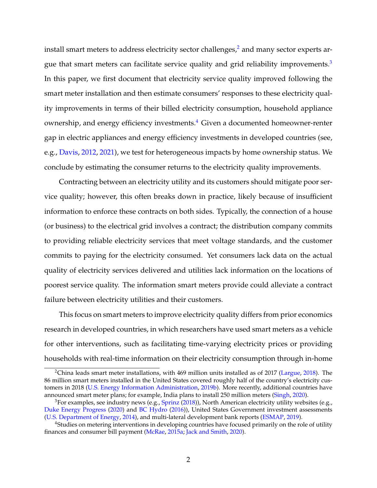install smart meters to address electricity sector challenges, $\lambda^2$  $\lambda^2$  and many sector experts ar-gue that smart meters can facilitate service quality and grid reliability improvements.<sup>[3](#page-2-1)</sup> In this paper, we first document that electricity service quality improved following the smart meter installation and then estimate consumers' responses to these electricity quality improvements in terms of their billed electricity consumption, household appliance ownership, and energy efficiency investments.[4](#page-2-2) Given a documented homeowner-renter gap in electric appliances and energy efficiency investments in developed countries (see, e.g., [Davis,](#page-29-2) [2012,](#page-29-2) [2021\)](#page-29-3), we test for heterogeneous impacts by home ownership status. We conclude by estimating the consumer returns to the electricity quality improvements.

Contracting between an electricity utility and its customers should mitigate poor service quality; however, this often breaks down in practice, likely because of insufficient information to enforce these contracts on both sides. Typically, the connection of a house (or business) to the electrical grid involves a contract; the distribution company commits to providing reliable electricity services that meet voltage standards, and the customer commits to paying for the electricity consumed. Yet consumers lack data on the actual quality of electricity services delivered and utilities lack information on the locations of poorest service quality. The information smart meters provide could alleviate a contract failure between electricity utilities and their customers.

This focus on smart meters to improve electricity quality differs from prior economics research in developed countries, in which researchers have used smart meters as a vehicle for other interventions, such as facilitating time-varying electricity prices or providing households with real-time information on their electricity consumption through in-home

<span id="page-2-0"></span><sup>2</sup>China leads smart meter installations, with 469 million units installed as of 2017 [\(Largue,](#page-31-3) [2018\)](#page-31-3). The 86 million smart meters installed in the United States covered roughly half of the country's electricity customers in 2018 [\(U.S. Energy Information Administration,](#page-32-5) [2019b\)](#page-32-5). More recently, additional countries have announced smart meter plans; for example, India plans to install 250 million meters [\(Singh,](#page-32-6) [2020\)](#page-32-6).

<span id="page-2-1"></span> $3$ For examples, see industry news (e.g., [Sprinz](#page-32-7) [\(2018\)](#page-32-7)), North American electricity utility websites (e.g., [Duke Energy Progress](#page-30-3) [\(2020\)](#page-30-3) and [BC Hydro](#page-29-4) [\(2016\)](#page-29-4)), United States Government investment assessments [\(U.S. Department of Energy,](#page-32-8) [2014\)](#page-32-8), and multi-lateral development bank reports [\(ESMAP,](#page-30-4) [2019\)](#page-30-4).

<span id="page-2-2"></span><sup>&</sup>lt;sup>4</sup>Studies on metering interventions in developing countries have focused primarily on the role of utility finances and consumer bill payment [\(McRae,](#page-31-4) [2015a;](#page-31-4) [Jack and Smith,](#page-30-5) [2020\)](#page-30-5).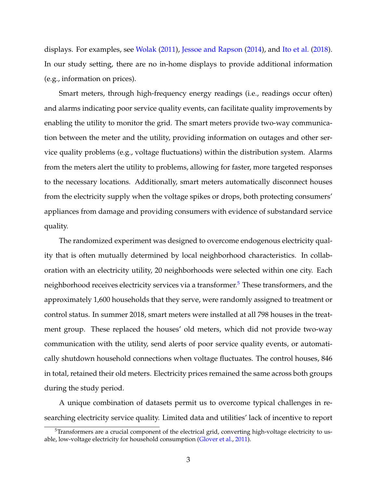displays. For examples, see [Wolak](#page-32-9) [\(2011\)](#page-32-9), [Jessoe and Rapson](#page-31-5) [\(2014\)](#page-31-5), and [Ito et al.](#page-30-6) [\(2018\)](#page-30-6). In our study setting, there are no in-home displays to provide additional information (e.g., information on prices).

Smart meters, through high-frequency energy readings (i.e., readings occur often) and alarms indicating poor service quality events, can facilitate quality improvements by enabling the utility to monitor the grid. The smart meters provide two-way communication between the meter and the utility, providing information on outages and other service quality problems (e.g., voltage fluctuations) within the distribution system. Alarms from the meters alert the utility to problems, allowing for faster, more targeted responses to the necessary locations. Additionally, smart meters automatically disconnect houses from the electricity supply when the voltage spikes or drops, both protecting consumers' appliances from damage and providing consumers with evidence of substandard service quality.

The randomized experiment was designed to overcome endogenous electricity quality that is often mutually determined by local neighborhood characteristics. In collaboration with an electricity utility, 20 neighborhoods were selected within one city. Each neighborhood receives electricity services via a transformer.<sup>[5](#page-3-0)</sup> These transformers, and the approximately 1,600 households that they serve, were randomly assigned to treatment or control status. In summer 2018, smart meters were installed at all 798 houses in the treatment group. These replaced the houses' old meters, which did not provide two-way communication with the utility, send alerts of poor service quality events, or automatically shutdown household connections when voltage fluctuates. The control houses, 846 in total, retained their old meters. Electricity prices remained the same across both groups during the study period.

A unique combination of datasets permit us to overcome typical challenges in researching electricity service quality. Limited data and utilities' lack of incentive to report

<span id="page-3-0"></span> $5$ Transformers are a crucial component of the electrical grid, converting high-voltage electricity to usable, low-voltage electricity for household consumption [\(Glover et al.,](#page-30-7) [2011\)](#page-30-7).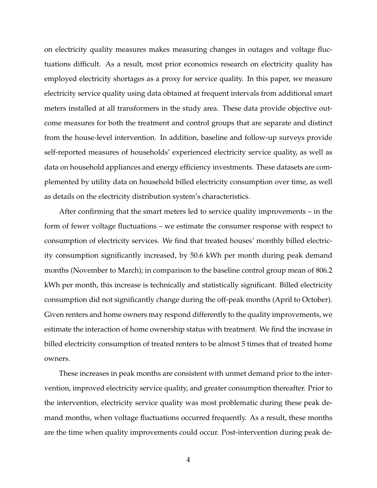on electricity quality measures makes measuring changes in outages and voltage fluctuations difficult. As a result, most prior economics research on electricity quality has employed electricity shortages as a proxy for service quality. In this paper, we measure electricity service quality using data obtained at frequent intervals from additional smart meters installed at all transformers in the study area. These data provide objective outcome measures for both the treatment and control groups that are separate and distinct from the house-level intervention. In addition, baseline and follow-up surveys provide self-reported measures of households' experienced electricity service quality, as well as data on household appliances and energy efficiency investments. These datasets are complemented by utility data on household billed electricity consumption over time, as well as details on the electricity distribution system's characteristics.

After confirming that the smart meters led to service quality improvements – in the form of fewer voltage fluctuations – we estimate the consumer response with respect to consumption of electricity services. We find that treated houses' monthly billed electricity consumption significantly increased, by 50.6 kWh per month during peak demand months (November to March); in comparison to the baseline control group mean of 806.2 kWh per month, this increase is technically and statistically significant. Billed electricity consumption did not significantly change during the off-peak months (April to October). Given renters and home owners may respond differently to the quality improvements, we estimate the interaction of home ownership status with treatment. We find the increase in billed electricity consumption of treated renters to be almost 5 times that of treated home owners.

These increases in peak months are consistent with unmet demand prior to the intervention, improved electricity service quality, and greater consumption thereafter. Prior to the intervention, electricity service quality was most problematic during these peak demand months, when voltage fluctuations occurred frequently. As a result, these months are the time when quality improvements could occur. Post-intervention during peak de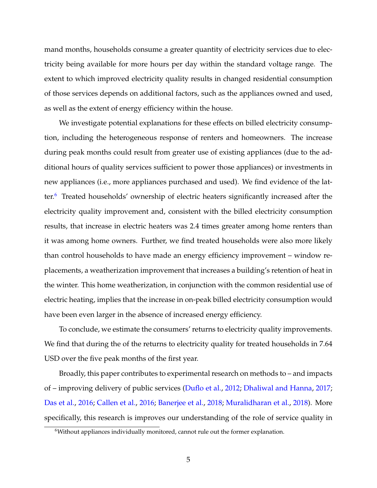mand months, households consume a greater quantity of electricity services due to electricity being available for more hours per day within the standard voltage range. The extent to which improved electricity quality results in changed residential consumption of those services depends on additional factors, such as the appliances owned and used, as well as the extent of energy efficiency within the house.

We investigate potential explanations for these effects on billed electricity consumption, including the heterogeneous response of renters and homeowners. The increase during peak months could result from greater use of existing appliances (due to the additional hours of quality services sufficient to power those appliances) or investments in new appliances (i.e., more appliances purchased and used). We find evidence of the latter.[6](#page-5-0) Treated households' ownership of electric heaters significantly increased after the electricity quality improvement and, consistent with the billed electricity consumption results, that increase in electric heaters was 2.4 times greater among home renters than it was among home owners. Further, we find treated households were also more likely than control households to have made an energy efficiency improvement – window replacements, a weatherization improvement that increases a building's retention of heat in the winter. This home weatherization, in conjunction with the common residential use of electric heating, implies that the increase in on-peak billed electricity consumption would have been even larger in the absence of increased energy efficiency.

To conclude, we estimate the consumers' returns to electricity quality improvements. We find that during the of the returns to electricity quality for treated households in 7.64 USD over the five peak months of the first year.

Broadly, this paper contributes to experimental research on methods to – and impacts of – improving delivery of public services [\(Duflo et al.,](#page-30-8) [2012;](#page-30-8) [Dhaliwal and Hanna,](#page-30-9) [2017;](#page-30-9) [Das et al.,](#page-29-5) [2016;](#page-29-5) [Callen et al.,](#page-29-6) [2016;](#page-29-6) [Banerjee et al.,](#page-29-7) [2018;](#page-29-7) [Muralidharan et al.,](#page-31-6) [2018\)](#page-31-6). More specifically, this research is improves our understanding of the role of service quality in

<span id="page-5-0"></span><sup>&</sup>lt;sup>6</sup>Without appliances individually monitored, cannot rule out the former explanation.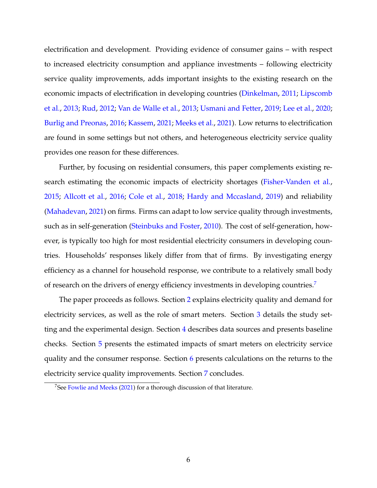electrification and development. Providing evidence of consumer gains – with respect to increased electricity consumption and appliance investments – following electricity service quality improvements, adds important insights to the existing research on the economic impacts of electrification in developing countries [\(Dinkelman,](#page-30-10) [2011;](#page-30-10) [Lipscomb](#page-31-7) [et al.,](#page-31-7) [2013;](#page-31-7) [Rud,](#page-32-10) [2012;](#page-32-10) [Van de Walle et al.,](#page-32-11) [2013;](#page-32-11) [Usmani and Fetter,](#page-32-12) [2019;](#page-32-12) [Lee et al.,](#page-31-8) [2020;](#page-31-8) [Burlig and Preonas,](#page-29-8) [2016;](#page-29-8) [Kassem,](#page-31-9) [2021;](#page-31-9) [Meeks et al.,](#page-31-10) [2021\)](#page-31-10). Low returns to electrification are found in some settings but not others, and heterogeneous electricity service quality provides one reason for these differences.

Further, by focusing on residential consumers, this paper complements existing research estimating the economic impacts of electricity shortages [\(Fisher-Vanden et al.,](#page-30-11) [2015;](#page-30-11) [Allcott et al.,](#page-29-9) [2016;](#page-29-9) [Cole et al.,](#page-29-10) [2018;](#page-29-10) [Hardy and Mccasland,](#page-30-12) [2019\)](#page-30-12) and reliability [\(Mahadevan,](#page-31-11) [2021\)](#page-31-11) on firms. Firms can adapt to low service quality through investments, such as in self-generation [\(Steinbuks and Foster,](#page-32-13) [2010\)](#page-32-13). The cost of self-generation, however, is typically too high for most residential electricity consumers in developing countries. Households' responses likely differ from that of firms. By investigating energy efficiency as a channel for household response, we contribute to a relatively small body of research on the drivers of energy efficiency investments in developing countries.<sup>[7](#page-6-0)</sup>

The paper proceeds as follows. Section [2](#page-7-0) explains electricity quality and demand for electricity services, as well as the role of smart meters. Section [3](#page-11-0) details the study setting and the experimental design. Section [4](#page-14-0) describes data sources and presents baseline checks. Section [5](#page-18-0) presents the estimated impacts of smart meters on electricity service quality and the consumer response. Section [6](#page-24-0) presents calculations on the returns to the electricity service quality improvements. Section [7](#page-27-0) concludes.

<span id="page-6-0"></span><sup>&</sup>lt;sup>7</sup>See [Fowlie and Meeks](#page-30-13) [\(2021\)](#page-30-13) for a thorough discussion of that literature.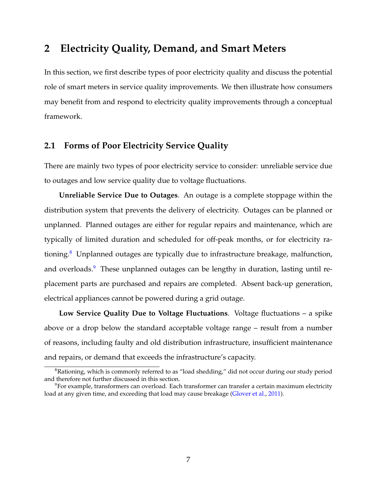## <span id="page-7-0"></span>**2 Electricity Quality, Demand, and Smart Meters**

In this section, we first describe types of poor electricity quality and discuss the potential role of smart meters in service quality improvements. We then illustrate how consumers may benefit from and respond to electricity quality improvements through a conceptual framework.

## **2.1 Forms of Poor Electricity Service Quality**

There are mainly two types of poor electricity service to consider: unreliable service due to outages and low service quality due to voltage fluctuations.

**Unreliable Service Due to Outages**. An outage is a complete stoppage within the distribution system that prevents the delivery of electricity. Outages can be planned or unplanned. Planned outages are either for regular repairs and maintenance, which are typically of limited duration and scheduled for off-peak months, or for electricity rationing. $8$  Unplanned outages are typically due to infrastructure breakage, malfunction, and overloads.<sup>[9](#page-7-2)</sup> These unplanned outages can be lengthy in duration, lasting until replacement parts are purchased and repairs are completed. Absent back-up generation, electrical appliances cannot be powered during a grid outage.

**Low Service Quality Due to Voltage Fluctuations**. Voltage fluctuations – a spike above or a drop below the standard acceptable voltage range – result from a number of reasons, including faulty and old distribution infrastructure, insufficient maintenance and repairs, or demand that exceeds the infrastructure's capacity.

<span id="page-7-1"></span><sup>&</sup>lt;sup>8</sup>Rationing, which is commonly referred to as "load shedding," did not occur during our study period and therefore not further discussed in this section.

<span id="page-7-2"></span> $9$ For example, transformers can overload. Each transformer can transfer a certain maximum electricity load at any given time, and exceeding that load may cause breakage [\(Glover et al.,](#page-30-7) [2011\)](#page-30-7).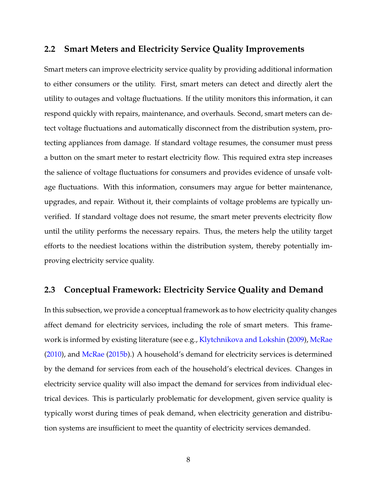## **2.2 Smart Meters and Electricity Service Quality Improvements**

Smart meters can improve electricity service quality by providing additional information to either consumers or the utility. First, smart meters can detect and directly alert the utility to outages and voltage fluctuations. If the utility monitors this information, it can respond quickly with repairs, maintenance, and overhauls. Second, smart meters can detect voltage fluctuations and automatically disconnect from the distribution system, protecting appliances from damage. If standard voltage resumes, the consumer must press a button on the smart meter to restart electricity flow. This required extra step increases the salience of voltage fluctuations for consumers and provides evidence of unsafe voltage fluctuations. With this information, consumers may argue for better maintenance, upgrades, and repair. Without it, their complaints of voltage problems are typically unverified. If standard voltage does not resume, the smart meter prevents electricity flow until the utility performs the necessary repairs. Thus, the meters help the utility target efforts to the neediest locations within the distribution system, thereby potentially improving electricity service quality.

## **2.3 Conceptual Framework: Electricity Service Quality and Demand**

In this subsection, we provide a conceptual framework as to how electricity quality changes affect demand for electricity services, including the role of smart meters. This framework is informed by existing literature (see e.g., [Klytchnikova and Lokshin](#page-31-12) [\(2009\)](#page-31-12), [McRae](#page-31-1) [\(2010\)](#page-31-1), and [McRae](#page-31-13) [\(2015b\)](#page-31-13).) A household's demand for electricity services is determined by the demand for services from each of the household's electrical devices. Changes in electricity service quality will also impact the demand for services from individual electrical devices. This is particularly problematic for development, given service quality is typically worst during times of peak demand, when electricity generation and distribution systems are insufficient to meet the quantity of electricity services demanded.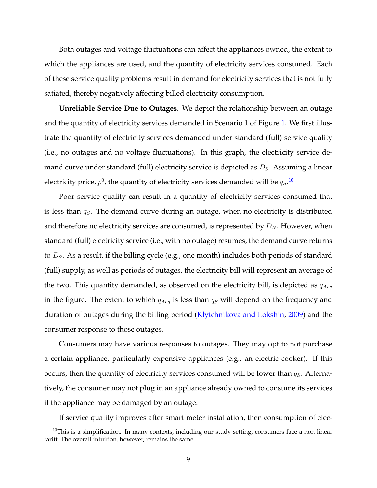Both outages and voltage fluctuations can affect the appliances owned, the extent to which the appliances are used, and the quantity of electricity services consumed. Each of these service quality problems result in demand for electricity services that is not fully satiated, thereby negatively affecting billed electricity consumption.

**Unreliable Service Due to Outages**. We depict the relationship between an outage and the quantity of electricity services demanded in Scenario 1 of Figure [1.](#page-35-0) We first illustrate the quantity of electricity services demanded under standard (full) service quality (i.e., no outages and no voltage fluctuations). In this graph, the electricity service demand curve under standard (full) electricity service is depicted as  $D_s$ . Assuming a linear electricity price,  $p^0$ , the quantity of electricity services demanded will be  $q_S.^{\bf 10}$  $q_S.^{\bf 10}$  $q_S.^{\bf 10}$ 

Poor service quality can result in a quantity of electricity services consumed that is less than  $q_S$ . The demand curve during an outage, when no electricity is distributed and therefore no electricity services are consumed, is represented by  $D_N$ . However, when standard (full) electricity service (i.e., with no outage) resumes, the demand curve returns to  $D_s$ . As a result, if the billing cycle (e.g., one month) includes both periods of standard (full) supply, as well as periods of outages, the electricity bill will represent an average of the two. This quantity demanded, as observed on the electricity bill, is depicted as  $q_{Avq}$ in the figure. The extent to which  $q_{Avg}$  is less than  $q_S$  will depend on the frequency and duration of outages during the billing period [\(Klytchnikova and Lokshin,](#page-31-12) [2009\)](#page-31-12) and the consumer response to those outages.

Consumers may have various responses to outages. They may opt to not purchase a certain appliance, particularly expensive appliances (e.g., an electric cooker). If this occurs, then the quantity of electricity services consumed will be lower than  $q_S$ . Alternatively, the consumer may not plug in an appliance already owned to consume its services if the appliance may be damaged by an outage.

<span id="page-9-0"></span>If service quality improves after smart meter installation, then consumption of elec-

 $10$ This is a simplification. In many contexts, including our study setting, consumers face a non-linear tariff. The overall intuition, however, remains the same.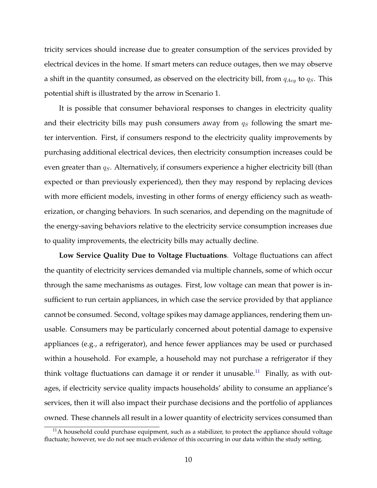tricity services should increase due to greater consumption of the services provided by electrical devices in the home. If smart meters can reduce outages, then we may observe a shift in the quantity consumed, as observed on the electricity bill, from  $q_{Avg}$  to  $q_S$ . This potential shift is illustrated by the arrow in Scenario 1.

It is possible that consumer behavioral responses to changes in electricity quality and their electricity bills may push consumers away from  $q<sub>S</sub>$  following the smart meter intervention. First, if consumers respond to the electricity quality improvements by purchasing additional electrical devices, then electricity consumption increases could be even greater than  $q_S$ . Alternatively, if consumers experience a higher electricity bill (than expected or than previously experienced), then they may respond by replacing devices with more efficient models, investing in other forms of energy efficiency such as weatherization, or changing behaviors. In such scenarios, and depending on the magnitude of the energy-saving behaviors relative to the electricity service consumption increases due to quality improvements, the electricity bills may actually decline.

**Low Service Quality Due to Voltage Fluctuations**. Voltage fluctuations can affect the quantity of electricity services demanded via multiple channels, some of which occur through the same mechanisms as outages. First, low voltage can mean that power is insufficient to run certain appliances, in which case the service provided by that appliance cannot be consumed. Second, voltage spikes may damage appliances, rendering them unusable. Consumers may be particularly concerned about potential damage to expensive appliances (e.g., a refrigerator), and hence fewer appliances may be used or purchased within a household. For example, a household may not purchase a refrigerator if they think voltage fluctuations can damage it or render it unusable.<sup>[11](#page-10-0)</sup> Finally, as with outages, if electricity service quality impacts households' ability to consume an appliance's services, then it will also impact their purchase decisions and the portfolio of appliances owned. These channels all result in a lower quantity of electricity services consumed than

<span id="page-10-0"></span> $<sup>11</sup>A$  household could purchase equipment, such as a stabilizer, to protect the appliance should voltage</sup> fluctuate; however, we do not see much evidence of this occurring in our data within the study setting.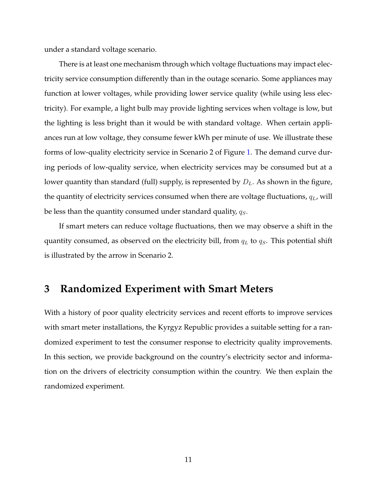under a standard voltage scenario.

There is at least one mechanism through which voltage fluctuations may impact electricity service consumption differently than in the outage scenario. Some appliances may function at lower voltages, while providing lower service quality (while using less electricity). For example, a light bulb may provide lighting services when voltage is low, but the lighting is less bright than it would be with standard voltage. When certain appliances run at low voltage, they consume fewer kWh per minute of use. We illustrate these forms of low-quality electricity service in Scenario 2 of Figure [1.](#page-35-0) The demand curve during periods of low-quality service, when electricity services may be consumed but at a lower quantity than standard (full) supply, is represented by  $D<sub>L</sub>$ . As shown in the figure, the quantity of electricity services consumed when there are voltage fluctuations,  $q_L$ , will be less than the quantity consumed under standard quality,  $q_S$ .

If smart meters can reduce voltage fluctuations, then we may observe a shift in the quantity consumed, as observed on the electricity bill, from  $q_L$  to  $q_S$ . This potential shift is illustrated by the arrow in Scenario 2.

## <span id="page-11-0"></span>**3 Randomized Experiment with Smart Meters**

With a history of poor quality electricity services and recent efforts to improve services with smart meter installations, the Kyrgyz Republic provides a suitable setting for a randomized experiment to test the consumer response to electricity quality improvements. In this section, we provide background on the country's electricity sector and information on the drivers of electricity consumption within the country. We then explain the randomized experiment.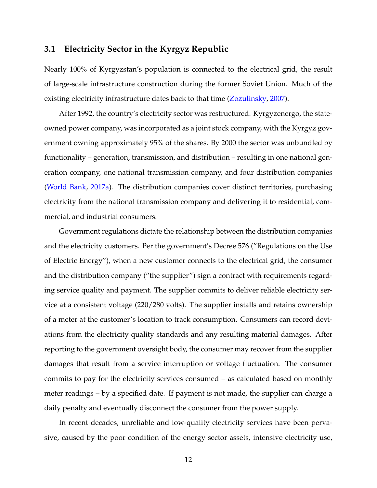## **3.1 Electricity Sector in the Kyrgyz Republic**

Nearly 100% of Kyrgyzstan's population is connected to the electrical grid, the result of large-scale infrastructure construction during the former Soviet Union. Much of the existing electricity infrastructure dates back to that time [\(Zozulinsky,](#page-33-1) [2007\)](#page-33-1).

After 1992, the country's electricity sector was restructured. Kyrgyzenergo, the stateowned power company, was incorporated as a joint stock company, with the Kyrgyz government owning approximately 95% of the shares. By 2000 the sector was unbundled by functionality – generation, transmission, and distribution – resulting in one national generation company, one national transmission company, and four distribution companies [\(World Bank,](#page-33-2) [2017a\)](#page-33-2). The distribution companies cover distinct territories, purchasing electricity from the national transmission company and delivering it to residential, commercial, and industrial consumers.

Government regulations dictate the relationship between the distribution companies and the electricity customers. Per the government's Decree 576 ("Regulations on the Use of Electric Energy"), when a new customer connects to the electrical grid, the consumer and the distribution company ("the supplier") sign a contract with requirements regarding service quality and payment. The supplier commits to deliver reliable electricity service at a consistent voltage (220/280 volts). The supplier installs and retains ownership of a meter at the customer's location to track consumption. Consumers can record deviations from the electricity quality standards and any resulting material damages. After reporting to the government oversight body, the consumer may recover from the supplier damages that result from a service interruption or voltage fluctuation. The consumer commits to pay for the electricity services consumed – as calculated based on monthly meter readings – by a specified date. If payment is not made, the supplier can charge a daily penalty and eventually disconnect the consumer from the power supply.

In recent decades, unreliable and low-quality electricity services have been pervasive, caused by the poor condition of the energy sector assets, intensive electricity use,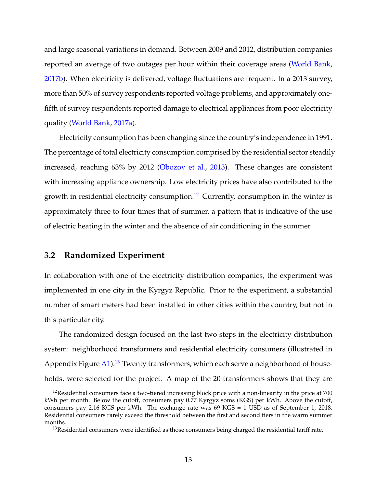and large seasonal variations in demand. Between 2009 and 2012, distribution companies reported an average of two outages per hour within their coverage areas [\(World Bank,](#page-33-3) [2017b\)](#page-33-3). When electricity is delivered, voltage fluctuations are frequent. In a 2013 survey, more than 50% of survey respondents reported voltage problems, and approximately onefifth of survey respondents reported damage to electrical appliances from poor electricity quality [\(World Bank,](#page-33-2) [2017a\)](#page-33-2).

Electricity consumption has been changing since the country's independence in 1991. The percentage of total electricity consumption comprised by the residential sector steadily increased, reaching 63% by 2012 [\(Obozov et al.,](#page-31-14) [2013\)](#page-31-14). These changes are consistent with increasing appliance ownership. Low electricity prices have also contributed to the growth in residential electricity consumption.<sup>[12](#page-13-0)</sup> Currently, consumption in the winter is approximately three to four times that of summer, a pattern that is indicative of the use of electric heating in the winter and the absence of air conditioning in the summer.

## **3.2 Randomized Experiment**

In collaboration with one of the electricity distribution companies, the experiment was implemented in one city in the Kyrgyz Republic. Prior to the experiment, a substantial number of smart meters had been installed in other cities within the country, but not in this particular city.

The randomized design focused on the last two steps in the electricity distribution system: neighborhood transformers and residential electricity consumers (illustrated in Appendix Figure [A1\)](#page-44-0).<sup>[13](#page-13-1)</sup> Twenty transformers, which each serve a neighborhood of households, were selected for the project. A map of the 20 transformers shows that they are

<span id="page-13-0"></span><sup>&</sup>lt;sup>12</sup>Residential consumers face a two-tiered increasing block price with a non-linearity in the price at 700 kWh per month. Below the cutoff, consumers pay 0.77 Kyrgyz soms (KGS) per kWh. Above the cutoff, consumers pay 2.16 KGS per kWh. The exchange rate was 69 KGS = 1 USD as of September 1, 2018. Residential consumers rarely exceed the threshold between the first and second tiers in the warm summer months.

<span id="page-13-1"></span> $13$ Residential consumers were identified as those consumers being charged the residential tariff rate.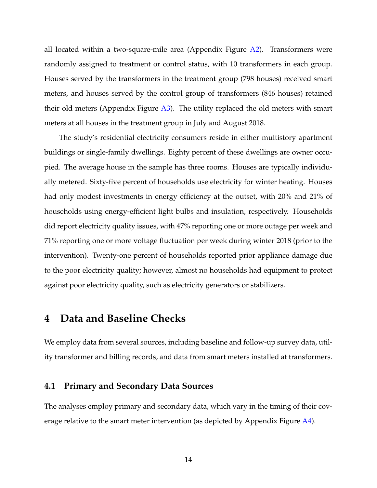all located within a two-square-mile area (Appendix Figure  $A2$ ). Transformers were randomly assigned to treatment or control status, with 10 transformers in each group. Houses served by the transformers in the treatment group (798 houses) received smart meters, and houses served by the control group of transformers (846 houses) retained their old meters (Appendix Figure [A3\)](#page-46-0). The utility replaced the old meters with smart meters at all houses in the treatment group in July and August 2018.

The study's residential electricity consumers reside in either multistory apartment buildings or single-family dwellings. Eighty percent of these dwellings are owner occupied. The average house in the sample has three rooms. Houses are typically individually metered. Sixty-five percent of households use electricity for winter heating. Houses had only modest investments in energy efficiency at the outset, with 20% and 21% of households using energy-efficient light bulbs and insulation, respectively. Households did report electricity quality issues, with 47% reporting one or more outage per week and 71% reporting one or more voltage fluctuation per week during winter 2018 (prior to the intervention). Twenty-one percent of households reported prior appliance damage due to the poor electricity quality; however, almost no households had equipment to protect against poor electricity quality, such as electricity generators or stabilizers.

# <span id="page-14-0"></span>**4 Data and Baseline Checks**

We employ data from several sources, including baseline and follow-up survey data, utility transformer and billing records, and data from smart meters installed at transformers.

## **4.1 Primary and Secondary Data Sources**

The analyses employ primary and secondary data, which vary in the timing of their coverage relative to the smart meter intervention (as depicted by Appendix Figure [A4\)](#page-47-0).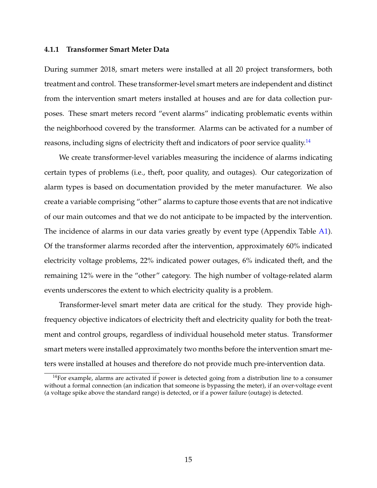#### **4.1.1 Transformer Smart Meter Data**

During summer 2018, smart meters were installed at all 20 project transformers, both treatment and control. These transformer-level smart meters are independent and distinct from the intervention smart meters installed at houses and are for data collection purposes. These smart meters record "event alarms" indicating problematic events within the neighborhood covered by the transformer. Alarms can be activated for a number of reasons, including signs of electricity theft and indicators of poor service quality.<sup>[14](#page-15-0)</sup>

We create transformer-level variables measuring the incidence of alarms indicating certain types of problems (i.e., theft, poor quality, and outages). Our categorization of alarm types is based on documentation provided by the meter manufacturer. We also create a variable comprising "other" alarms to capture those events that are not indicative of our main outcomes and that we do not anticipate to be impacted by the intervention. The incidence of alarms in our data varies greatly by event type (Appendix Table [A1\)](#page-48-0). Of the transformer alarms recorded after the intervention, approximately 60% indicated electricity voltage problems, 22% indicated power outages, 6% indicated theft, and the remaining 12% were in the "other" category. The high number of voltage-related alarm events underscores the extent to which electricity quality is a problem.

Transformer-level smart meter data are critical for the study. They provide highfrequency objective indicators of electricity theft and electricity quality for both the treatment and control groups, regardless of individual household meter status. Transformer smart meters were installed approximately two months before the intervention smart meters were installed at houses and therefore do not provide much pre-intervention data.

<span id="page-15-0"></span> $14$ For example, alarms are activated if power is detected going from a distribution line to a consumer without a formal connection (an indication that someone is bypassing the meter), if an over-voltage event (a voltage spike above the standard range) is detected, or if a power failure (outage) is detected.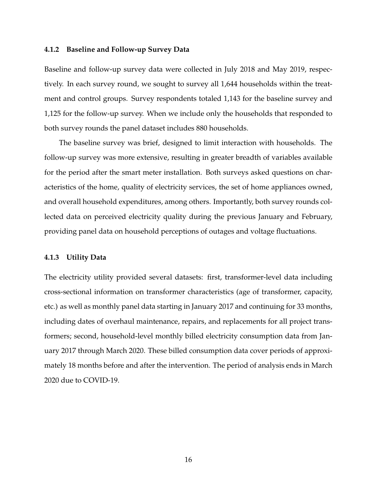#### **4.1.2 Baseline and Follow-up Survey Data**

Baseline and follow-up survey data were collected in July 2018 and May 2019, respectively. In each survey round, we sought to survey all 1,644 households within the treatment and control groups. Survey respondents totaled 1,143 for the baseline survey and 1,125 for the follow-up survey. When we include only the households that responded to both survey rounds the panel dataset includes 880 households.

The baseline survey was brief, designed to limit interaction with households. The follow-up survey was more extensive, resulting in greater breadth of variables available for the period after the smart meter installation. Both surveys asked questions on characteristics of the home, quality of electricity services, the set of home appliances owned, and overall household expenditures, among others. Importantly, both survey rounds collected data on perceived electricity quality during the previous January and February, providing panel data on household perceptions of outages and voltage fluctuations.

#### **4.1.3 Utility Data**

The electricity utility provided several datasets: first, transformer-level data including cross-sectional information on transformer characteristics (age of transformer, capacity, etc.) as well as monthly panel data starting in January 2017 and continuing for 33 months, including dates of overhaul maintenance, repairs, and replacements for all project transformers; second, household-level monthly billed electricity consumption data from January 2017 through March 2020. These billed consumption data cover periods of approximately 18 months before and after the intervention. The period of analysis ends in March 2020 due to COVID-19.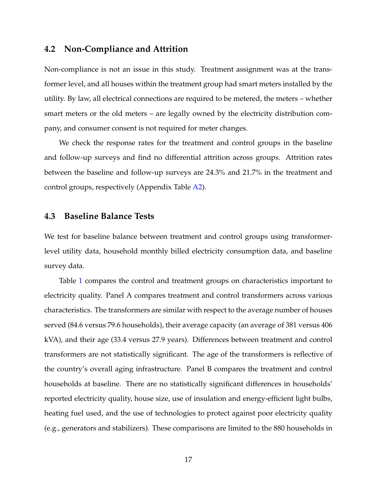### **4.2 Non-Compliance and Attrition**

Non-compliance is not an issue in this study. Treatment assignment was at the transformer level, and all houses within the treatment group had smart meters installed by the utility. By law, all electrical connections are required to be metered, the meters – whether smart meters or the old meters – are legally owned by the electricity distribution company, and consumer consent is not required for meter changes.

We check the response rates for the treatment and control groups in the baseline and follow-up surveys and find no differential attrition across groups. Attrition rates between the baseline and follow-up surveys are 24.3% and 21.7% in the treatment and control groups, respectively (Appendix Table [A2\)](#page-49-0).

### **4.3 Baseline Balance Tests**

We test for baseline balance between treatment and control groups using transformerlevel utility data, household monthly billed electricity consumption data, and baseline survey data.

Table [1](#page-36-0) compares the control and treatment groups on characteristics important to electricity quality. Panel A compares treatment and control transformers across various characteristics. The transformers are similar with respect to the average number of houses served (84.6 versus 79.6 households), their average capacity (an average of 381 versus 406 kVA), and their age (33.4 versus 27.9 years). Differences between treatment and control transformers are not statistically significant. The age of the transformers is reflective of the country's overall aging infrastructure. Panel B compares the treatment and control households at baseline. There are no statistically significant differences in households' reported electricity quality, house size, use of insulation and energy-efficient light bulbs, heating fuel used, and the use of technologies to protect against poor electricity quality (e.g., generators and stabilizers). These comparisons are limited to the 880 households in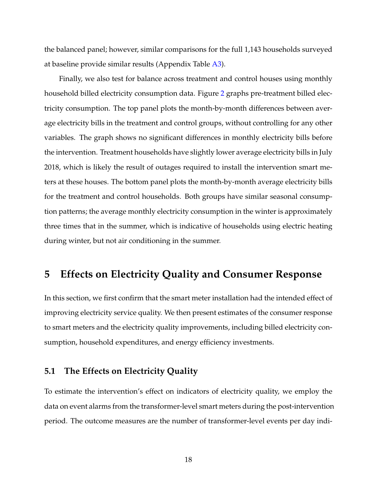the balanced panel; however, similar comparisons for the full 1,143 households surveyed at baseline provide similar results (Appendix Table [A3\)](#page-50-0).

Finally, we also test for balance across treatment and control houses using monthly household billed electricity consumption data. Figure [2](#page-37-0) graphs pre-treatment billed electricity consumption. The top panel plots the month-by-month differences between average electricity bills in the treatment and control groups, without controlling for any other variables. The graph shows no significant differences in monthly electricity bills before the intervention. Treatment households have slightly lower average electricity bills in July 2018, which is likely the result of outages required to install the intervention smart meters at these houses. The bottom panel plots the month-by-month average electricity bills for the treatment and control households. Both groups have similar seasonal consumption patterns; the average monthly electricity consumption in the winter is approximately three times that in the summer, which is indicative of households using electric heating during winter, but not air conditioning in the summer.

## <span id="page-18-0"></span>**5 Effects on Electricity Quality and Consumer Response**

In this section, we first confirm that the smart meter installation had the intended effect of improving electricity service quality. We then present estimates of the consumer response to smart meters and the electricity quality improvements, including billed electricity consumption, household expenditures, and energy efficiency investments.

## <span id="page-18-1"></span>**5.1 The Effects on Electricity Quality**

To estimate the intervention's effect on indicators of electricity quality, we employ the data on event alarms from the transformer-level smart meters during the post-intervention period. The outcome measures are the number of transformer-level events per day indi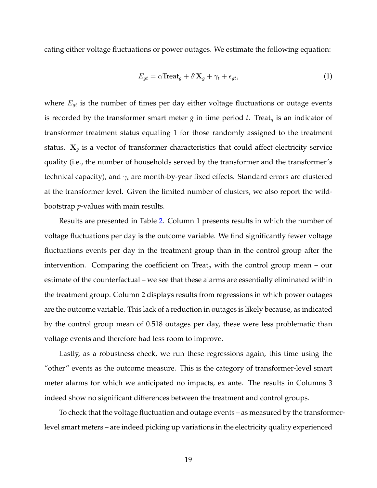cating either voltage fluctuations or power outages. We estimate the following equation:

$$
E_{gt} = \alpha \text{Treeat}_g + \delta' \mathbf{X}_g + \gamma_t + \epsilon_{gt},\tag{1}
$$

where  $E_{qt}$  is the number of times per day either voltage fluctuations or outage events is recorded by the transformer smart meter  $g$  in time period  $t$ . Treat<sub>g</sub> is an indicator of transformer treatment status equaling 1 for those randomly assigned to the treatment status.  $X_g$  is a vector of transformer characteristics that could affect electricity service quality (i.e., the number of households served by the transformer and the transformer's technical capacity), and  $\gamma_t$  are month-by-year fixed effects. Standard errors are clustered at the transformer level. Given the limited number of clusters, we also report the wildbootstrap *p*-values with main results.

Results are presented in Table [2.](#page-38-0) Column 1 presents results in which the number of voltage fluctuations per day is the outcome variable. We find significantly fewer voltage fluctuations events per day in the treatment group than in the control group after the intervention. Comparing the coefficient on Treat<sub>a</sub> with the control group mean – our estimate of the counterfactual – we see that these alarms are essentially eliminated within the treatment group. Column 2 displays results from regressions in which power outages are the outcome variable. This lack of a reduction in outages is likely because, as indicated by the control group mean of 0.518 outages per day, these were less problematic than voltage events and therefore had less room to improve.

Lastly, as a robustness check, we run these regressions again, this time using the "other" events as the outcome measure. This is the category of transformer-level smart meter alarms for which we anticipated no impacts, ex ante. The results in Columns 3 indeed show no significant differences between the treatment and control groups.

To check that the voltage fluctuation and outage events – as measured by the transformerlevel smart meters – are indeed picking up variations in the electricity quality experienced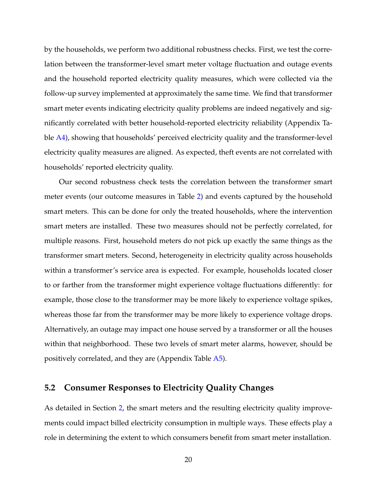by the households, we perform two additional robustness checks. First, we test the correlation between the transformer-level smart meter voltage fluctuation and outage events and the household reported electricity quality measures, which were collected via the follow-up survey implemented at approximately the same time. We find that transformer smart meter events indicating electricity quality problems are indeed negatively and significantly correlated with better household-reported electricity reliability (Appendix Ta-ble [A4\)](#page-51-0), showing that households' perceived electricity quality and the transformer-level electricity quality measures are aligned. As expected, theft events are not correlated with households' reported electricity quality.

Our second robustness check tests the correlation between the transformer smart meter events (our outcome measures in Table [2\)](#page-38-0) and events captured by the household smart meters. This can be done for only the treated households, where the intervention smart meters are installed. These two measures should not be perfectly correlated, for multiple reasons. First, household meters do not pick up exactly the same things as the transformer smart meters. Second, heterogeneity in electricity quality across households within a transformer's service area is expected. For example, households located closer to or farther from the transformer might experience voltage fluctuations differently: for example, those close to the transformer may be more likely to experience voltage spikes, whereas those far from the transformer may be more likely to experience voltage drops. Alternatively, an outage may impact one house served by a transformer or all the houses within that neighborhood. These two levels of smart meter alarms, however, should be positively correlated, and they are (Appendix Table [A5\)](#page-52-0).

### **5.2 Consumer Responses to Electricity Quality Changes**

As detailed in Section [2,](#page-7-0) the smart meters and the resulting electricity quality improvements could impact billed electricity consumption in multiple ways. These effects play a role in determining the extent to which consumers benefit from smart meter installation.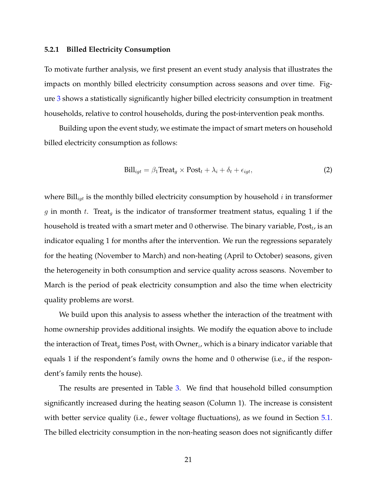#### **5.2.1 Billed Electricity Consumption**

To motivate further analysis, we first present an event study analysis that illustrates the impacts on monthly billed electricity consumption across seasons and over time. Figure [3](#page-39-0) shows a statistically significantly higher billed electricity consumption in treatment households, relative to control households, during the post-intervention peak months.

Building upon the event study, we estimate the impact of smart meters on household billed electricity consumption as follows:

$$
\text{Bill}_{igt} = \beta_1 \text{Treeat}_g \times \text{Post}_t + \lambda_i + \delta_t + \epsilon_{igt},\tag{2}
$$

where  $\text{Bill}_{\text{int}}$  is the monthly billed electricity consumption by household i in transformer g in month t. Treat<sub>g</sub> is the indicator of transformer treatment status, equaling 1 if the household is treated with a smart meter and 0 otherwise. The binary variable,  $\mathrm{Post}_t$ , is an indicator equaling 1 for months after the intervention. We run the regressions separately for the heating (November to March) and non-heating (April to October) seasons, given the heterogeneity in both consumption and service quality across seasons. November to March is the period of peak electricity consumption and also the time when electricity quality problems are worst.

We build upon this analysis to assess whether the interaction of the treatment with home ownership provides additional insights. We modify the equation above to include the interaction of Treat $_g$  times  $\mathrm{Post}_t$  with Owner $_i$ , which is a binary indicator variable that equals 1 if the respondent's family owns the home and 0 otherwise (i.e., if the respondent's family rents the house).

The results are presented in Table [3.](#page-40-0) We find that household billed consumption significantly increased during the heating season (Column 1). The increase is consistent with better service quality (i.e., fewer voltage fluctuations), as we found in Section [5.1.](#page-18-1) The billed electricity consumption in the non-heating season does not significantly differ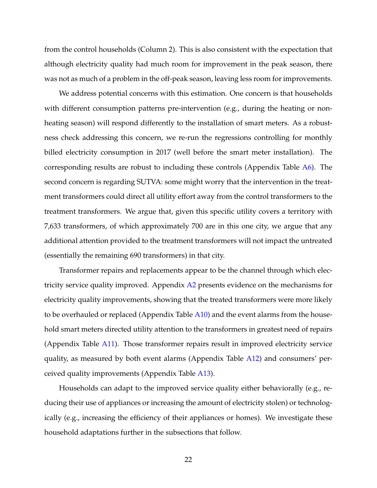from the control households (Column 2). This is also consistent with the expectation that although electricity quality had much room for improvement in the peak season, there was not as much of a problem in the off-peak season, leaving less room for improvements.

We address potential concerns with this estimation. One concern is that households with different consumption patterns pre-intervention (e.g., during the heating or nonheating season) will respond differently to the installation of smart meters. As a robustness check addressing this concern, we re-run the regressions controlling for monthly billed electricity consumption in 2017 (well before the smart meter installation). The corresponding results are robust to including these controls (Appendix Table [A6\)](#page-53-0). The second concern is regarding SUTVA: some might worry that the intervention in the treatment transformers could direct all utility effort away from the control transformers to the treatment transformers. We argue that, given this specific utility covers a territory with 7,633 transformers, of which approximately 700 are in this one city, we argue that any additional attention provided to the treatment transformers will not impact the untreated (essentially the remaining 690 transformers) in that city.

Transformer repairs and replacements appear to be the channel through which electricity service quality improved. Appendix [A2](#page-57-0) presents evidence on the mechanisms for electricity quality improvements, showing that the treated transformers were more likely to be overhauled or replaced (Appendix Table  $A10$ ) and the event alarms from the household smart meters directed utility attention to the transformers in greatest need of repairs (Appendix Table [A11\)](#page-60-0). Those transformer repairs result in improved electricity service quality, as measured by both event alarms (Appendix Table [A12\)](#page-61-0) and consumers' perceived quality improvements (Appendix Table [A13\)](#page-62-0).

Households can adapt to the improved service quality either behaviorally (e.g., reducing their use of appliances or increasing the amount of electricity stolen) or technologically (e.g., increasing the efficiency of their appliances or homes). We investigate these household adaptations further in the subsections that follow.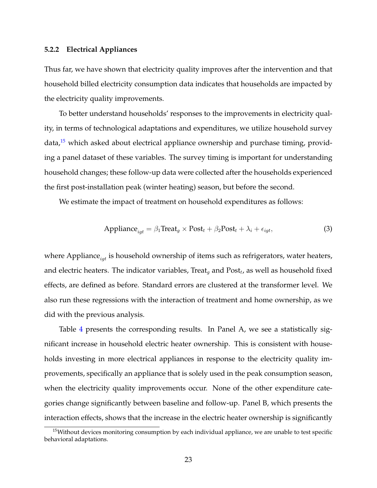#### **5.2.2 Electrical Appliances**

Thus far, we have shown that electricity quality improves after the intervention and that household billed electricity consumption data indicates that households are impacted by the electricity quality improvements.

To better understand households' responses to the improvements in electricity quality, in terms of technological adaptations and expenditures, we utilize household survey  $data<sup>15</sup>$  $data<sup>15</sup>$  $data<sup>15</sup>$  which asked about electrical appliance ownership and purchase timing, providing a panel dataset of these variables. The survey timing is important for understanding household changes; these follow-up data were collected after the households experienced the first post-installation peak (winter heating) season, but before the second.

We estimate the impact of treatment on household expenditures as follows:

$$
Appliance_{igt} = \beta_1 \text{Tree} t_g \times \text{Post}_t + \beta_2 \text{Post}_t + \lambda_i + \epsilon_{igt},\tag{3}
$$

where Appliance $_{i_{at}}$  is household ownership of items such as refrigerators, water heaters, and electric heaters. The indicator variables, Treat<sub>g</sub> and Post<sub>t</sub>, as well as household fixed effects, are defined as before. Standard errors are clustered at the transformer level. We also run these regressions with the interaction of treatment and home ownership, as we did with the previous analysis.

Table [4](#page-41-0) presents the corresponding results. In Panel A, we see a statistically significant increase in household electric heater ownership. This is consistent with households investing in more electrical appliances in response to the electricity quality improvements, specifically an appliance that is solely used in the peak consumption season, when the electricity quality improvements occur. None of the other expenditure categories change significantly between baseline and follow-up. Panel B, which presents the interaction effects, shows that the increase in the electric heater ownership is significantly

<span id="page-23-0"></span><sup>&</sup>lt;sup>15</sup>Without devices monitoring consumption by each individual appliance, we are unable to test specific behavioral adaptations.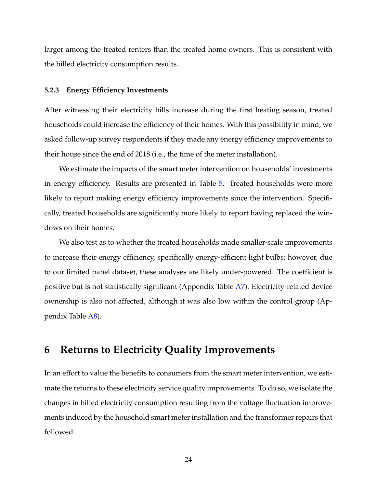larger among the treated renters than the treated home owners. This is consistent with the billed electricity consumption results.

#### **5.2.3 Energy Efficiency Investments**

After witnessing their electricity bills increase during the first heating season, treated households could increase the efficiency of their homes. With this possibility in mind, we asked follow-up survey respondents if they made any energy efficiency improvements to their house since the end of 2018 (i.e., the time of the meter installation).

We estimate the impacts of the smart meter intervention on households' investments in energy efficiency. Results are presented in Table [5.](#page-42-0) Treated households were more likely to report making energy efficiency improvements since the intervention. Specifically, treated households are significantly more likely to report having replaced the windows on their homes.

We also test as to whether the treated households made smaller-scale improvements to increase their energy efficiency, specifically energy-efficient light bulbs; however, due to our limited panel dataset, these analyses are likely under-powered. The coefficient is positive but is not statistically significant (Appendix Table [A7\)](#page-54-0). Electricity-related device ownership is also not affected, although it was also low within the control group (Appendix Table [A8\)](#page-55-0).

## <span id="page-24-0"></span>**6 Returns to Electricity Quality Improvements**

In an effort to value the benefits to consumers from the smart meter intervention, we estimate the returns to these electricity service quality improvements. To do so, we isolate the changes in billed electricity consumption resulting from the voltage fluctuation improvements induced by the household smart meter installation and the transformer repairs that followed.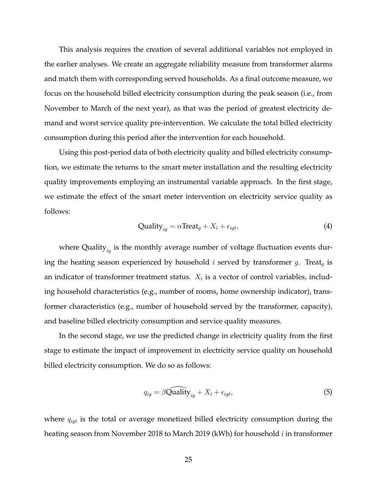This analysis requires the creation of several additional variables not employed in the earlier analyses. We create an aggregate reliability measure from transformer alarms and match them with corresponding served households. As a final outcome measure, we focus on the household billed electricity consumption during the peak season (i.e., from November to March of the next year), as that was the period of greatest electricity demand and worst service quality pre-intervention. We calculate the total billed electricity consumption during this period after the intervention for each household.

Using this post-period data of both electricity quality and billed electricity consumption, we estimate the returns to the smart meter installation and the resulting electricity quality improvements employing an instrumental variable approach. In the first stage, we estimate the effect of the smart meter intervention on electricity service quality as follows:

$$
Quality_{ig} = \alpha \text{Treeat}_g + X_i + \epsilon_{igt},\tag{4}
$$

where Quality $_{iq}$  is the monthly average number of voltage fluctuation events during the heating season experienced by household i served by transformer g. Treat<sub>q</sub> is an indicator of transformer treatment status.  $X_i$  is a vector of control variables, including household characteristics (e.g., number of rooms, home ownership indicator), transformer characteristics (e.g., number of household served by the transformer, capacity), and baseline billed electricity consumption and service quality measures.

In the second stage, we use the predicted change in electricity quality from the first stage to estimate the impact of improvement in electricity service quality on household billed electricity consumption. We do so as follows:

$$
q_{ig} = \beta \widehat{\text{Quality}}_{ig} + X_i + \epsilon_{igt},\tag{5}
$$

where  $q_{igt}$  is the total or average monetized billed electricity consumption during the heating season from November 2018 to March 2019 (kWh) for household *i* in transformer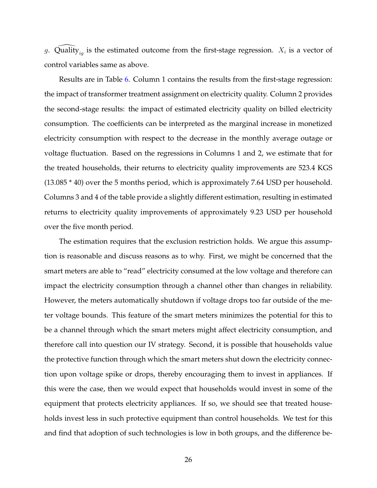g.  $\widehat{\text{Quality}}_{ig}$  is the estimated outcome from the first-stage regression.  $X_i$  is a vector of control variables same as above.

Results are in Table [6.](#page-43-0) Column 1 contains the results from the first-stage regression: the impact of transformer treatment assignment on electricity quality. Column 2 provides the second-stage results: the impact of estimated electricity quality on billed electricity consumption. The coefficients can be interpreted as the marginal increase in monetized electricity consumption with respect to the decrease in the monthly average outage or voltage fluctuation. Based on the regressions in Columns 1 and 2, we estimate that for the treated households, their returns to electricity quality improvements are 523.4 KGS (13.085 \* 40) over the 5 months period, which is approximately 7.64 USD per household. Columns 3 and 4 of the table provide a slightly different estimation, resulting in estimated returns to electricity quality improvements of approximately 9.23 USD per household over the five month period.

The estimation requires that the exclusion restriction holds. We argue this assumption is reasonable and discuss reasons as to why. First, we might be concerned that the smart meters are able to "read" electricity consumed at the low voltage and therefore can impact the electricity consumption through a channel other than changes in reliability. However, the meters automatically shutdown if voltage drops too far outside of the meter voltage bounds. This feature of the smart meters minimizes the potential for this to be a channel through which the smart meters might affect electricity consumption, and therefore call into question our IV strategy. Second, it is possible that households value the protective function through which the smart meters shut down the electricity connection upon voltage spike or drops, thereby encouraging them to invest in appliances. If this were the case, then we would expect that households would invest in some of the equipment that protects electricity appliances. If so, we should see that treated households invest less in such protective equipment than control households. We test for this and find that adoption of such technologies is low in both groups, and the difference be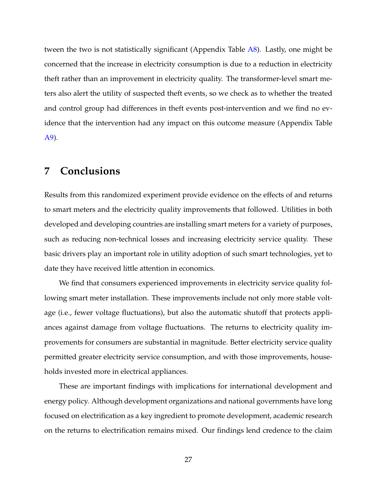tween the two is not statistically significant (Appendix Table [A8\)](#page-55-0). Lastly, one might be concerned that the increase in electricity consumption is due to a reduction in electricity theft rather than an improvement in electricity quality. The transformer-level smart meters also alert the utility of suspected theft events, so we check as to whether the treated and control group had differences in theft events post-intervention and we find no evidence that the intervention had any impact on this outcome measure (Appendix Table [A9\)](#page-56-0).

## <span id="page-27-0"></span>**7 Conclusions**

Results from this randomized experiment provide evidence on the effects of and returns to smart meters and the electricity quality improvements that followed. Utilities in both developed and developing countries are installing smart meters for a variety of purposes, such as reducing non-technical losses and increasing electricity service quality. These basic drivers play an important role in utility adoption of such smart technologies, yet to date they have received little attention in economics.

We find that consumers experienced improvements in electricity service quality following smart meter installation. These improvements include not only more stable voltage (i.e., fewer voltage fluctuations), but also the automatic shutoff that protects appliances against damage from voltage fluctuations. The returns to electricity quality improvements for consumers are substantial in magnitude. Better electricity service quality permitted greater electricity service consumption, and with those improvements, households invested more in electrical appliances.

These are important findings with implications for international development and energy policy. Although development organizations and national governments have long focused on electrification as a key ingredient to promote development, academic research on the returns to electrification remains mixed. Our findings lend credence to the claim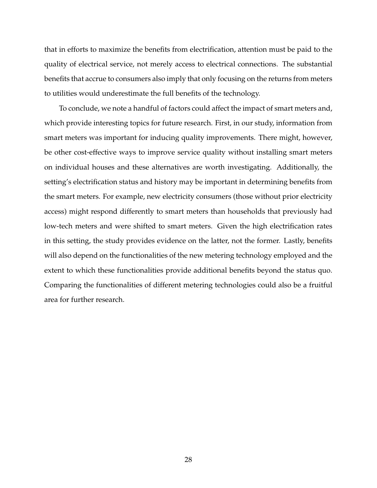that in efforts to maximize the benefits from electrification, attention must be paid to the quality of electrical service, not merely access to electrical connections. The substantial benefits that accrue to consumers also imply that only focusing on the returns from meters to utilities would underestimate the full benefits of the technology.

To conclude, we note a handful of factors could affect the impact of smart meters and, which provide interesting topics for future research. First, in our study, information from smart meters was important for inducing quality improvements. There might, however, be other cost-effective ways to improve service quality without installing smart meters on individual houses and these alternatives are worth investigating. Additionally, the setting's electrification status and history may be important in determining benefits from the smart meters. For example, new electricity consumers (those without prior electricity access) might respond differently to smart meters than households that previously had low-tech meters and were shifted to smart meters. Given the high electrification rates in this setting, the study provides evidence on the latter, not the former. Lastly, benefits will also depend on the functionalities of the new metering technology employed and the extent to which these functionalities provide additional benefits beyond the status quo. Comparing the functionalities of different metering technologies could also be a fruitful area for further research.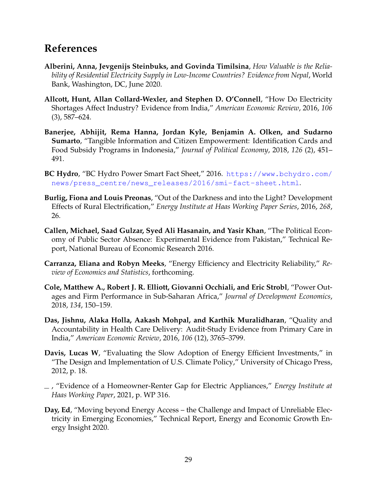## **References**

- <span id="page-29-1"></span>**Alberini, Anna, Jevgenijs Steinbuks, and Govinda Timilsina**, *How Valuable is the Reliability of Residential Electricity Supply in Low-Income Countries? Evidence from Nepal*, World Bank, Washington, DC, June 2020.
- <span id="page-29-9"></span>**Allcott, Hunt, Allan Collard-Wexler, and Stephen D. O'Connell**, "How Do Electricity Shortages Affect Industry? Evidence from India," *American Economic Review*, 2016, *106* (3), 587–624.
- <span id="page-29-7"></span>**Banerjee, Abhijit, Rema Hanna, Jordan Kyle, Benjamin A. Olken, and Sudarno Sumarto**, "Tangible Information and Citizen Empowerment: Identification Cards and Food Subsidy Programs in Indonesia," *Journal of Political Economy*, 2018, *126* (2), 451– 491.
- <span id="page-29-4"></span>**BC Hydro**, "BC Hydro Power Smart Fact Sheet," 2016. [https://www.bchydro.com/](https://www.bchydro.com/news/press_centre/news_releases/2016/smi-fact-sheet.html) [news/press\\_centre/news\\_releases/2016/smi-fact-sheet.html](https://www.bchydro.com/news/press_centre/news_releases/2016/smi-fact-sheet.html).
- <span id="page-29-8"></span>**Burlig, Fiona and Louis Preonas**, "Out of the Darkness and into the Light? Development Effects of Rural Electrification," *Energy Institute at Haas Working Paper Series*, 2016, *268*, 26.
- <span id="page-29-6"></span>**Callen, Michael, Saad Gulzar, Syed Ali Hasanain, and Yasir Khan**, "The Political Economy of Public Sector Absence: Experimental Evidence from Pakistan," Technical Report, National Bureau of Economic Research 2016.
- <span id="page-29-11"></span>**Carranza, Eliana and Robyn Meeks**, "Energy Efficiency and Electricity Reliability," *Review of Economics and Statistics*, forthcoming.
- <span id="page-29-10"></span>**Cole, Matthew A., Robert J. R. Elliott, Giovanni Occhiali, and Eric Strobl**, "Power Outages and Firm Performance in Sub-Saharan Africa," *Journal of Development Economics*, 2018, *134*, 150–159.
- <span id="page-29-5"></span>**Das, Jishnu, Alaka Holla, Aakash Mohpal, and Karthik Muralidharan**, "Quality and Accountability in Health Care Delivery: Audit-Study Evidence from Primary Care in India," *American Economic Review*, 2016, *106* (12), 3765–3799.
- <span id="page-29-2"></span>**Davis, Lucas W**, "Evaluating the Slow Adoption of Energy Efficient Investments," in "The Design and Implementation of U.S. Climate Policy," University of Chicago Press, 2012, p. 18.
- <span id="page-29-3"></span>, "Evidence of a Homeowner-Renter Gap for Electric Appliances," *Energy Institute at Haas Working Paper*, 2021, p. WP 316.
- <span id="page-29-0"></span>**Day, Ed**, "Moving beyond Energy Access – the Challenge and Impact of Unreliable Electricity in Emerging Economies," Technical Report, Energy and Economic Growth Energy Insight 2020.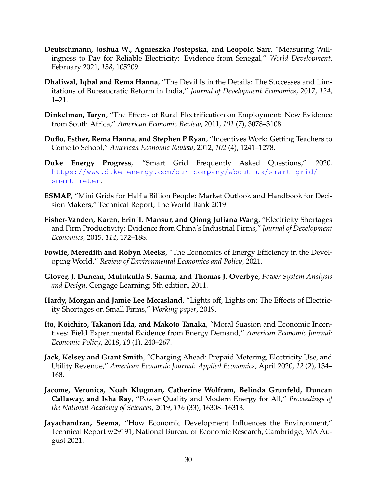- <span id="page-30-2"></span>**Deutschmann, Joshua W., Agnieszka Postepska, and Leopold Sarr**, "Measuring Willingness to Pay for Reliable Electricity: Evidence from Senegal," *World Development*, February 2021, *138*, 105209.
- <span id="page-30-9"></span>**Dhaliwal, Iqbal and Rema Hanna**, "The Devil Is in the Details: The Successes and Limitations of Bureaucratic Reform in India," *Journal of Development Economics*, 2017, *124*, 1–21.
- <span id="page-30-10"></span>**Dinkelman, Taryn**, "The Effects of Rural Electrification on Employment: New Evidence from South Africa," *American Economic Review*, 2011, *101* (7), 3078–3108.
- <span id="page-30-8"></span>**Duflo, Esther, Rema Hanna, and Stephen P Ryan**, "Incentives Work: Getting Teachers to Come to School," *American Economic Review*, 2012, *102* (4), 1241–1278.
- <span id="page-30-3"></span>**Duke Energy Progress**, "Smart Grid Frequently Asked Questions," 2020. [https://www.duke-energy.com/our-company/about-us/smart-grid/](https://www.duke-energy.com/our-company/about-us/smart-grid/smart-meter) [smart-meter](https://www.duke-energy.com/our-company/about-us/smart-grid/smart-meter).
- <span id="page-30-4"></span>**ESMAP**, "Mini Grids for Half a Billion People: Market Outlook and Handbook for Decision Makers," Technical Report, The World Bank 2019.
- <span id="page-30-11"></span>**Fisher-Vanden, Karen, Erin T. Mansur, and Qiong Juliana Wang**, "Electricity Shortages and Firm Productivity: Evidence from China's Industrial Firms," *Journal of Development Economics*, 2015, *114*, 172–188.
- <span id="page-30-13"></span>**Fowlie, Meredith and Robyn Meeks**, "The Economics of Energy Efficiency in the Developing World," *Review of Environmental Economics and Policy*, 2021.
- <span id="page-30-7"></span>**Glover, J. Duncan, Mulukutla S. Sarma, and Thomas J. Overbye**, *Power System Analysis and Design*, Cengage Learning; 5th edition, 2011.
- <span id="page-30-12"></span>**Hardy, Morgan and Jamie Lee Mccasland**, "Lights off, Lights on: The Effects of Electricity Shortages on Small Firms," *Working paper*, 2019.
- <span id="page-30-6"></span>**Ito, Koichiro, Takanori Ida, and Makoto Tanaka**, "Moral Suasion and Economic Incentives: Field Experimental Evidence from Energy Demand," *American Economic Journal: Economic Policy*, 2018, *10* (1), 240–267.
- <span id="page-30-5"></span>**Jack, Kelsey and Grant Smith**, "Charging Ahead: Prepaid Metering, Electricity Use, and Utility Revenue," *American Economic Journal: Applied Economics*, April 2020, *12* (2), 134– 168.
- <span id="page-30-0"></span>**Jacome, Veronica, Noah Klugman, Catherine Wolfram, Belinda Grunfeld, Duncan Callaway, and Isha Ray**, "Power Quality and Modern Energy for All," *Proceedings of the National Academy of Sciences*, 2019, *116* (33), 16308–16313.
- <span id="page-30-1"></span>**Jayachandran, Seema**, "How Economic Development Influences the Environment," Technical Report w29191, National Bureau of Economic Research, Cambridge, MA August 2021.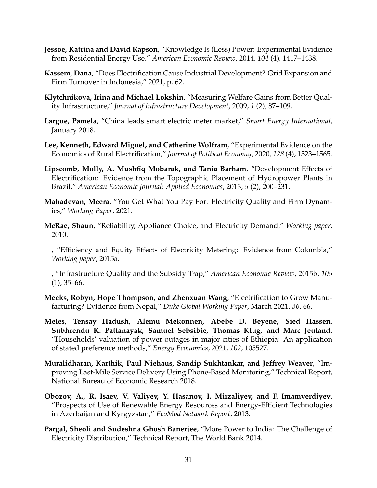- <span id="page-31-5"></span>**Jessoe, Katrina and David Rapson**, "Knowledge Is (Less) Power: Experimental Evidence from Residential Energy Use," *American Economic Review*, 2014, *104* (4), 1417–1438.
- <span id="page-31-9"></span>**Kassem, Dana**, "Does Electrification Cause Industrial Development? Grid Expansion and Firm Turnover in Indonesia," 2021, p. 62.
- <span id="page-31-12"></span>**Klytchnikova, Irina and Michael Lokshin**, "Measuring Welfare Gains from Better Quality Infrastructure," *Journal of Infrastructure Development*, 2009, *1* (2), 87–109.
- <span id="page-31-3"></span>**Largue, Pamela**, "China leads smart electric meter market," *Smart Energy International*, January 2018.
- <span id="page-31-8"></span>**Lee, Kenneth, Edward Miguel, and Catherine Wolfram**, "Experimental Evidence on the Economics of Rural Electrification," *Journal of Political Economy*, 2020, *128* (4), 1523–1565.
- <span id="page-31-7"></span>**Lipscomb, Molly, A. Mushfiq Mobarak, and Tania Barham**, "Development Effects of Electrification: Evidence from the Topographic Placement of Hydropower Plants in Brazil," *American Economic Journal: Applied Economics*, 2013, *5* (2), 200–231.
- <span id="page-31-11"></span>**Mahadevan, Meera**, "You Get What You Pay For: Electricity Quality and Firm Dynamics," *Working Paper*, 2021.
- <span id="page-31-1"></span>**McRae, Shaun**, "Reliability, Appliance Choice, and Electricity Demand," *Working paper*, 2010.
- <span id="page-31-4"></span> $\_$ , "Efficiency and Equity Effects of Electricity Metering: Evidence from Colombia," *Working paper*, 2015a.
- <span id="page-31-13"></span>, "Infrastructure Quality and the Subsidy Trap," *American Economic Review*, 2015b, *105*  $(1)$ , 35–66.
- <span id="page-31-10"></span>**Meeks, Robyn, Hope Thompson, and Zhenxuan Wang**, "Electrification to Grow Manufacturing? Evidence from Nepal," *Duke Global Working Paper*, March 2021, *36*, 66.
- <span id="page-31-2"></span>**Meles, Tensay Hadush, Alemu Mekonnen, Abebe D. Beyene, Sied Hassen, Subhrendu K. Pattanayak, Samuel Sebsibie, Thomas Klug, and Marc Jeuland**, "Households' valuation of power outages in major cities of Ethiopia: An application of stated preference methods," *Energy Economics*, 2021, *102*, 105527.
- <span id="page-31-6"></span>**Muralidharan, Karthik, Paul Niehaus, Sandip Sukhtankar, and Jeffrey Weaver**, "Improving Last-Mile Service Delivery Using Phone-Based Monitoring," Technical Report, National Bureau of Economic Research 2018.
- <span id="page-31-14"></span>**Obozov, A., R. Isaev, V. Valiyev, Y. Hasanov, I. Mirzaliyev, and F. Imamverdiyev**, "Prospects of Use of Renewable Energy Resources and Energy-Efficient Technologies in Azerbaijan and Kyrgyzstan," *EcoMod Network Report*, 2013.
- <span id="page-31-0"></span>**Pargal, Sheoli and Sudeshna Ghosh Banerjee**, "More Power to India: The Challenge of Electricity Distribution," Technical Report, The World Bank 2014.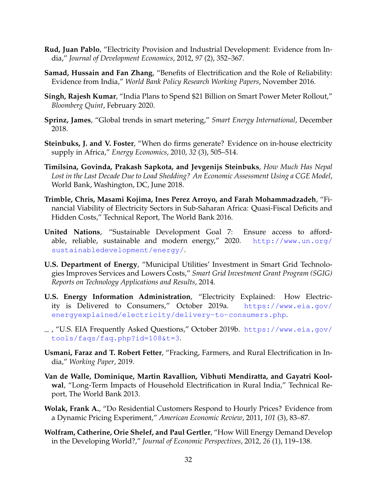- <span id="page-32-10"></span>**Rud, Juan Pablo**, "Electricity Provision and Industrial Development: Evidence from India," *Journal of Development Economics*, 2012, *97* (2), 352–367.
- <span id="page-32-1"></span>**Samad, Hussain and Fan Zhang**, "Benefits of Electrification and the Role of Reliability: Evidence from India," *World Bank Policy Research Working Papers*, November 2016.
- <span id="page-32-6"></span>**Singh, Rajesh Kumar**, "India Plans to Spend \$21 Billion on Smart Power Meter Rollout," *Bloomberg Quint*, February 2020.
- <span id="page-32-7"></span>**Sprinz, James**, "Global trends in smart metering," *Smart Energy International*, December 2018.
- <span id="page-32-13"></span>**Steinbuks, J. and V. Foster**, "When do firms generate? Evidence on in-house electricity supply in Africa," *Energy Economics*, 2010, *32* (3), 505–514.
- <span id="page-32-2"></span>**Timilsina, Govinda, Prakash Sapkota, and Jevgenijs Steinbuks**, *How Much Has Nepal Lost in the Last Decade Due to Load Shedding? An Economic Assessment Using a CGE Model*, World Bank, Washington, DC, June 2018.
- <span id="page-32-0"></span>**Trimble, Chris, Masami Kojima, Ines Perez Arroyo, and Farah Mohammadzadeh**, "Financial Viability of Electricity Sectors in Sub-Saharan Africa: Quasi-Fiscal Deficits and Hidden Costs," Technical Report, The World Bank 2016.
- <span id="page-32-4"></span>**United Nations**, "Sustainable Development Goal 7: Ensure access to affordable, reliable, sustainable and modern energy," 2020. [http://www.un.org/](http://www.un.org/sustainabledevelopment/energy/) [sustainabledevelopment/energy/](http://www.un.org/sustainabledevelopment/energy/).
- <span id="page-32-8"></span>**U.S. Department of Energy**, "Municipal Utilities' Investment in Smart Grid Technologies Improves Services and Lowers Costs," *Smart Grid Investment Grant Program (SGIG) Reports on Technology Applications and Results*, 2014.
- <span id="page-32-14"></span>**U.S. Energy Information Administration**, "Electricity Explained: How Electricity is Delivered to Consumers," October 2019a. [https://www.eia.gov/](https://www.eia.gov/energyexplained/electricity/delivery-to-consumers.php) [energyexplained/electricity/delivery-to-consumers.php](https://www.eia.gov/energyexplained/electricity/delivery-to-consumers.php).
- <span id="page-32-5"></span>, "U.S. EIA Frequently Asked Questions," October 2019b. [https://www.eia.gov/](https://www.eia.gov/tools/faqs/faq.php?id=108&t=3) [tools/faqs/faq.php?id=108&t=3](https://www.eia.gov/tools/faqs/faq.php?id=108&t=3).
- <span id="page-32-12"></span>**Usmani, Faraz and T. Robert Fetter**, "Fracking, Farmers, and Rural Electrification in India," *Working Paper*, 2019.
- <span id="page-32-11"></span>**Van de Walle, Dominique, Martin Ravallion, Vibhuti Mendiratta, and Gayatri Koolwal**, "Long-Term Impacts of Household Electrification in Rural India," Technical Report, The World Bank 2013.
- <span id="page-32-9"></span>**Wolak, Frank A.**, "Do Residential Customers Respond to Hourly Prices? Evidence from a Dynamic Pricing Experiment," *American Economic Review*, 2011, *101* (3), 83–87.
- <span id="page-32-3"></span>**Wolfram, Catherine, Orie Shelef, and Paul Gertler**, "How Will Energy Demand Develop in the Developing World?," *Journal of Economic Perspectives*, 2012, *26* (1), 119–138.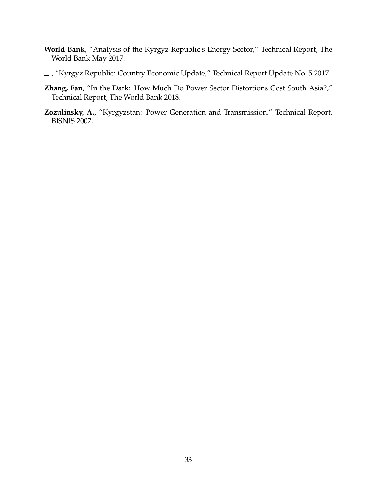- <span id="page-33-2"></span>**World Bank**, "Analysis of the Kyrgyz Republic's Energy Sector," Technical Report, The World Bank May 2017.
- <span id="page-33-3"></span> $\_$ , "Kyrgyz Republic: Country Economic Update," Technical Report Update No. 5 2017.
- <span id="page-33-0"></span>**Zhang, Fan**, "In the Dark: How Much Do Power Sector Distortions Cost South Asia?," Technical Report, The World Bank 2018.
- <span id="page-33-1"></span>**Zozulinsky, A.**, "Kyrgyzstan: Power Generation and Transmission," Technical Report, BISNIS 2007.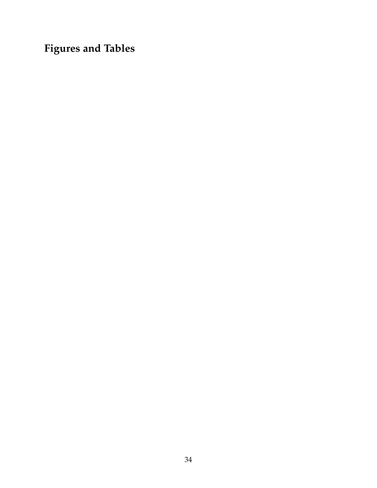**Figures and Tables**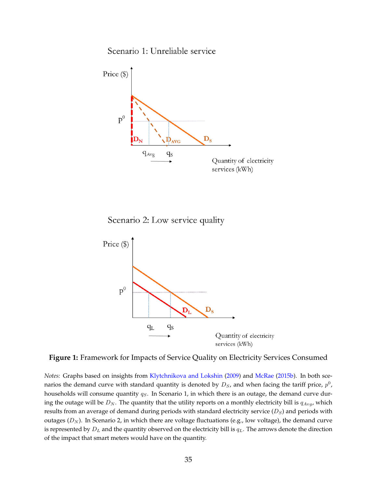Scenario 1: Unreliable service

<span id="page-35-0"></span>

Scenario 2: Low service quality



**Figure 1:** Framework for Impacts of Service Quality on Electricity Services Consumed

*Notes:* Graphs based on insights from [Klytchnikova and Lokshin](#page-31-12) [\(2009\)](#page-31-12) and [McRae](#page-31-13) [\(2015b\)](#page-31-13). In both scenarios the demand curve with standard quantity is denoted by  $D_S$ , and when facing the tariff price,  $p^0$ , households will consume quantity  $q_S$ . In Scenario 1, in which there is an outage, the demand curve during the outage will be  $D_N$ . The quantity that the utility reports on a monthly electricity bill is  $q_{Avg}$ , which results from an average of demand during periods with standard electricity service  $(D<sub>S</sub>)$  and periods with outages  $(D_N)$ . In Scenario 2, in which there are voltage fluctuations (e.g., low voltage), the demand curve is represented by  $D_L$  and the quantity observed on the electricity bill is  $q_L$ . The arrows denote the direction of the impact that smart meters would have on the quantity.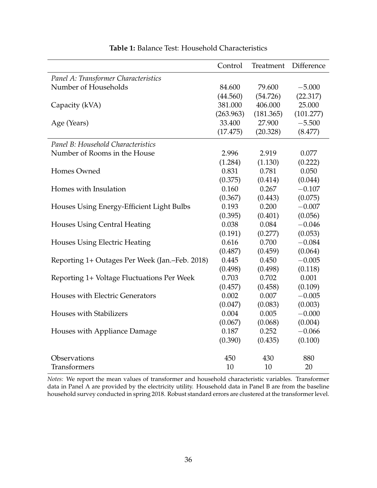<span id="page-36-0"></span>

|                                                | Control   | Treatment | Difference |
|------------------------------------------------|-----------|-----------|------------|
| Panel A: Transformer Characteristics           |           |           |            |
| Number of Households                           | 84.600    | 79.600    | $-5.000$   |
|                                                | (44.560)  | (54.726)  | (22.317)   |
| Capacity (kVA)                                 | 381.000   | 406.000   | 25.000     |
|                                                | (263.963) | (181.365) | (101.277)  |
| Age (Years)                                    | 33.400    | 27.900    | $-5.500$   |
|                                                | (17.475)  | (20.328)  | (8.477)    |
| Panel B: Household Characteristics             |           |           |            |
| Number of Rooms in the House                   | 2.996     | 2.919     | 0.077      |
|                                                | (1.284)   | (1.130)   | (0.222)    |
| Homes Owned                                    | 0.831     | 0.781     | 0.050      |
|                                                | (0.375)   | (0.414)   | (0.044)    |
| Homes with Insulation                          | 0.160     | 0.267     | $-0.107$   |
|                                                | (0.367)   | (0.443)   | (0.075)    |
| Houses Using Energy-Efficient Light Bulbs      | 0.193     | 0.200     | $-0.007$   |
|                                                | (0.395)   | (0.401)   | (0.056)    |
| <b>Houses Using Central Heating</b>            | 0.038     | 0.084     | $-0.046$   |
|                                                | (0.191)   | (0.277)   | (0.053)    |
| <b>Houses Using Electric Heating</b>           | 0.616     | 0.700     | $-0.084$   |
|                                                | (0.487)   | (0.459)   | (0.064)    |
| Reporting 1+ Outages Per Week (Jan.–Feb. 2018) | 0.445     | 0.450     | $-0.005$   |
|                                                | (0.498)   | (0.498)   | (0.118)    |
| Reporting 1+ Voltage Fluctuations Per Week     | 0.703     | 0.702     | 0.001      |
|                                                | (0.457)   | (0.458)   | (0.109)    |
| Houses with Electric Generators                | 0.002     | 0.007     | $-0.005$   |
|                                                | (0.047)   | (0.083)   | (0.003)    |
| <b>Houses with Stabilizers</b>                 | 0.004     | 0.005     | $-0.000$   |
|                                                | (0.067)   | (0.068)   | (0.004)    |
| Houses with Appliance Damage                   | 0.187     | 0.252     | $-0.066$   |
|                                                | (0.390)   | (0.435)   | (0.100)    |
| Observations                                   | 450       | 430       | 880        |
| <b>Transformers</b>                            | 10        | 10        | 20         |

### **Table 1:** Balance Test: Household Characteristics

*Notes:* We report the mean values of transformer and household characteristic variables. Transformer data in Panel A are provided by the electricity utility. Household data in Panel B are from the baseline household survey conducted in spring 2018. Robust standard errors are clustered at the transformer level.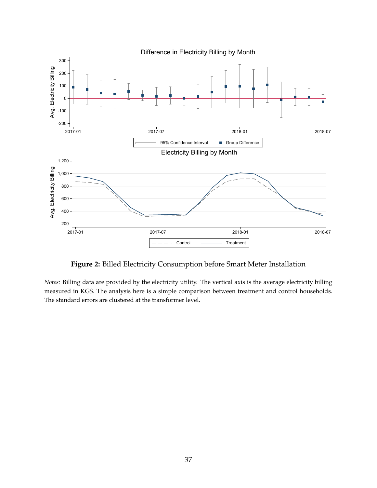<span id="page-37-0"></span>

**Figure 2:** Billed Electricity Consumption before Smart Meter Installation

*Notes:* Billing data are provided by the electricity utility. The vertical axis is the average electricity billing measured in KGS. The analysis here is a simple comparison between treatment and control households. The standard errors are clustered at the transformer level.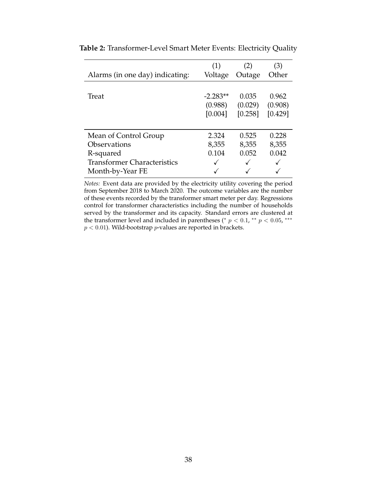|                                    | (1)        | (2)     | (3)     |
|------------------------------------|------------|---------|---------|
| Alarms (in one day) indicating:    | Voltage    | Outage  | Other   |
|                                    |            |         |         |
| Treat                              | $-2.283**$ | 0.035   | 0.962   |
|                                    | (0.988)    | (0.029) | (0.908) |
|                                    | [0.004]    | [0.258] | [0.429] |
|                                    |            |         |         |
| Mean of Control Group              | 2.324      | 0.525   | 0.228   |
| <b>Observations</b>                | 8,355      | 8,355   | 8,355   |
| R-squared                          | 0.104      | 0.052   | 0.042   |
| <b>Transformer Characteristics</b> |            |         |         |
| Month-by-Year FE                   |            |         |         |

<span id="page-38-0"></span>**Table 2:** Transformer-Level Smart Meter Events: Electricity Quality

*Notes:* Event data are provided by the electricity utility covering the period from September 2018 to March 2020. The outcome variables are the number of these events recorded by the transformer smart meter per day. Regressions control for transformer characteristics including the number of households served by the transformer and its capacity. Standard errors are clustered at the transformer level and included in parentheses (\*  $p < 0.1$ , \*\*  $p < 0.05$ , \*\*\*  $p < 0.01$ ). Wild-bootstrap  $p$ -values are reported in brackets.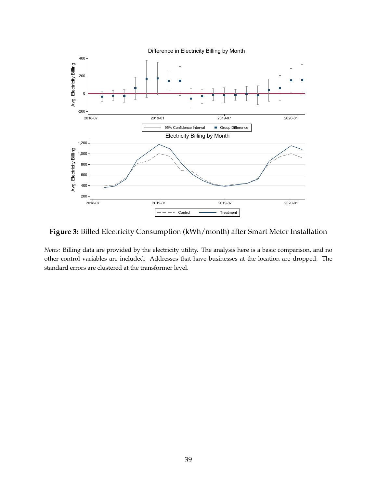<span id="page-39-0"></span>

**Figure 3:** Billed Electricity Consumption (kWh/month) after Smart Meter Installation

*Notes:* Billing data are provided by the electricity utility. The analysis here is a basic comparison, and no other control variables are included. Addresses that have businesses at the location are dropped. The standard errors are clustered at the transformer level.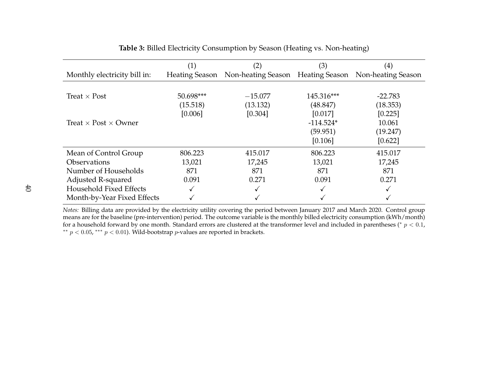|                                    | (1)       | $\left( 2\right)$                                                   | (3)         | $\left( 4\right)$ |
|------------------------------------|-----------|---------------------------------------------------------------------|-------------|-------------------|
| Monthly electricity bill in:       |           | Heating Season Non-heating Season Heating Season Non-heating Season |             |                   |
|                                    |           |                                                                     |             |                   |
| Treat $\times$ Post                | 50.698*** | $-15.077$                                                           | 145.316***  | $-22.783$         |
|                                    | (15.518)  | (13.132)                                                            | (48.847)    | (18.353)          |
|                                    | [0.006]   | [0.304]                                                             | [0.017]     | [0.225]           |
| Treat $\times$ Post $\times$ Owner |           |                                                                     | $-114.524*$ | 10.061            |
|                                    |           |                                                                     | (59.951)    | (19.247)          |
|                                    |           |                                                                     | [0.106]     | [0.622]           |
| Mean of Control Group              | 806.223   | 415.017                                                             | 806.223     | 415.017           |
| <b>Observations</b>                | 13,021    | 17,245                                                              | 13,021      | 17,245            |
| Number of Households               | 871       | 871                                                                 | 871         | 871               |
| Adjusted R-squared                 | 0.091     | 0.271                                                               | 0.091       | 0.271             |
| Household Fixed Effects            | √         |                                                                     |             |                   |
| Month-by-Year Fixed Effects        |           |                                                                     |             |                   |

**Table 3:** Billed Electricity Consumption by Season (Heating vs. Non-heating)

<span id="page-40-0"></span> *Notes:* Billing data are provided by the electricity utility covering the period between January 2017 and March 2020. Control group means are for the baseline (pre-intervention) period. The outcome variable is the monthly billed electricity consumption (kWh/month)for a household forward by one month. Standard errors are clustered at the transformer level and included in parentheses (\*  $p < 0.1$ ,  $^{**}$   $p < 0.05$ ,  $^{***}$   $p < 0.01$ ). Wild-bootstrap  $p$ -values are reported in brackets.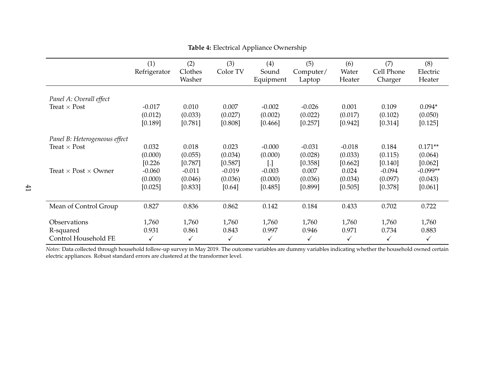|                                    | (1)<br>Refrigerator | (2)<br>Clothes<br>Washer | (3)<br>Color TV | (4)<br>Sound<br>Equipment | (5)<br>Computer/<br>Laptop | (6)<br>Water<br>Heater | (7)<br>Cell Phone<br>Charger | (8)<br>Electric<br>Heater |
|------------------------------------|---------------------|--------------------------|-----------------|---------------------------|----------------------------|------------------------|------------------------------|---------------------------|
| Panel A: Overall effect            |                     |                          |                 |                           |                            |                        |                              |                           |
| Treat $\times$ Post                | $-0.017$            | 0.010                    | 0.007           | $-0.002$                  | $-0.026$                   | 0.001                  | 0.109                        | $0.094*$                  |
|                                    | (0.012)             | (0.033)                  | (0.027)         | (0.002)                   | (0.022)                    | (0.017)                | (0.102)                      | (0.050)                   |
|                                    | [0.189]             | [0.781]                  | [0.808]         | [0.466]                   | [0.257]                    | [0.942]                | [0.314]                      | [0.125]                   |
| Panel B: Heterogeneous effect      |                     |                          |                 |                           |                            |                        |                              |                           |
| Treat $\times$ Post                | 0.032               | 0.018                    | 0.023           | $-0.000$                  | $-0.031$                   | $-0.018$               | 0.184                        | $0.171**$                 |
|                                    | (0.000)             | (0.055)                  | (0.034)         | (0.000)                   | (0.028)                    | (0.033)                | (0.115)                      | (0.064)                   |
|                                    | [0.226]             | [0.787]                  | [0.587]         | $\left[ . \right]$        | [0.358]                    | [0.662]                | [0.140]                      | [0.062]                   |
| Treat $\times$ Post $\times$ Owner | $-0.060$            | $-0.011$                 | $-0.019$        | $-0.003$                  | 0.007                      | 0.024                  | $-0.094$                     | $-0.099**$                |
|                                    | (0.000)             | (0.046)                  | (0.036)         | (0.000)                   | (0.036)                    | (0.034)                | (0.097)                      | (0.043)                   |
|                                    | [0.025]             | [0.833]                  | [0.64]          | [0.485]                   | [0.899]                    | [0.505]                | [0.378]                      | [0.061]                   |
| Mean of Control Group              | 0.827               | 0.836                    | 0.862           | 0.142                     | 0.184                      | 0.433                  | 0.702                        | 0.722                     |
| Observations                       | 1,760               | 1,760                    | 1,760           | 1,760                     | 1,760                      | 1,760                  | 1,760                        | 1,760                     |
| R-squared                          | 0.931               | 0.861                    | 0.843           | 0.997                     | 0.946                      | 0.971                  | 0.734                        | 0.883                     |
| Control Household FE               | ✓                   | $\checkmark$             | ✓               | $\checkmark$              | ✓                          | ✓                      | $\checkmark$                 | ✓                         |

#### <span id="page-41-0"></span>**Table 4:** Electrical Appliance Ownership

*Notes: D*ata collected through household follow-up survey in May 2019. The outcome variables are dummy variables indicating whether the household owned certain<br>electric appliances. Robust standard errors are clustered at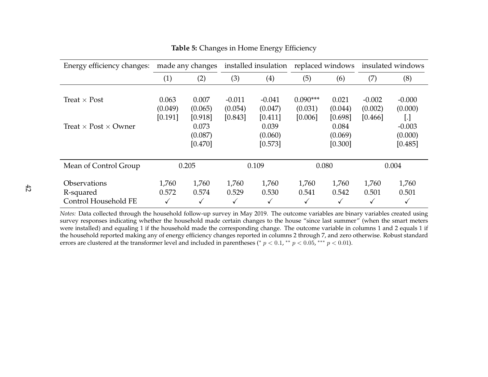| Energy efficiency changes:                               | made any changes            |                             | installed insulation           |                                | replaced windows                 |                             | insulated windows              |                                |
|----------------------------------------------------------|-----------------------------|-----------------------------|--------------------------------|--------------------------------|----------------------------------|-----------------------------|--------------------------------|--------------------------------|
|                                                          | (1)                         | (2)                         | (3)                            | (4)                            | (5)                              | (6)                         | (7)                            | (8)                            |
| Treat $\times$ Post                                      | 0.063<br>(0.049)<br>[0.191] | 0.007<br>(0.065)<br>[0.918] | $-0.011$<br>(0.054)<br>[0.843] | $-0.041$<br>(0.047)<br>[0.411] | $0.090***$<br>(0.031)<br>[0.006] | 0.021<br>(0.044)<br>[0.698] | $-0.002$<br>(0.002)<br>[0.466] | $-0.000$<br>(0.000)<br>IJ      |
| Treat $\times$ Post $\times$ Owner                       |                             | 0.073<br>(0.087)<br>[0.470] |                                | 0.039<br>(0.060)<br>[0.573]    |                                  | 0.084<br>(0.069)<br>[0.300] |                                | $-0.003$<br>(0.000)<br>[0.485] |
| Mean of Control Group                                    |                             | 0.205                       |                                | 0.109                          | 0.080                            |                             |                                | 0.004                          |
| <b>Observations</b><br>R-squared<br>Control Household FE | 1,760<br>0.572<br>✓         | 1,760<br>0.574<br>✓         | 1,760<br>0.529<br>√            | 1,760<br>0.530<br>√            | 1,760<br>0.541<br>✓              | 1,760<br>0.542<br>✓         | 1,760<br>0.501<br>√            | 1,760<br>0.501<br>√            |

<span id="page-42-0"></span>**Table 5:** Changes in Home Energy Efficiency

 *Notes:* Data collected through the household follow-up survey in May 2019. The outcome variables are binary variables created using survey responses indicating whether the household made certain changes to the house "since last summer" (when the smart meters were installed) and equaling <sup>1</sup> if the household made the corresponding change. The outcome variable in columns <sup>1</sup> and <sup>2</sup> equals <sup>1</sup> if the household reported making any of energy efficiency changes reported in columns <sup>2</sup> through 7, and zero otherwise. Robust standarderrors are clustered at the transformer level and included in parentheses (\*  $p < 0.1$ , \*\*  $p < 0.05$ , \*\*\*  $p < 0.01$ ).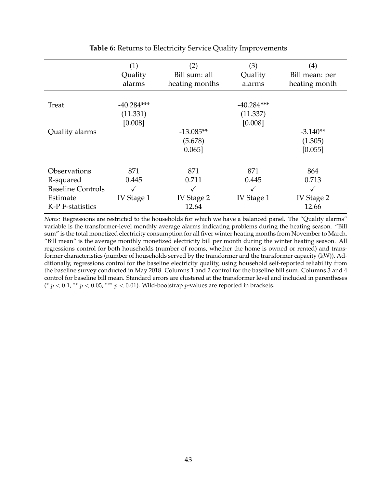<span id="page-43-0"></span>

|                          | (1)          | (2)            | (3)          | $\left( 4\right)$ |
|--------------------------|--------------|----------------|--------------|-------------------|
|                          | Quality      | Bill sum: all  | Quality      | Bill mean: per    |
|                          | alarms       | heating months | alarms       | heating month     |
|                          |              |                |              |                   |
| Treat                    | $-40.284***$ |                | $-40.284***$ |                   |
|                          | (11.331)     |                | (11.337)     |                   |
|                          | [0.008]      |                | [0.008]      |                   |
| Quality alarms           |              | $-13.085**$    |              | $-3.140**$        |
|                          |              | (5.678)        |              | (1.305)           |
|                          |              | $0.065$ ]      |              | [0.055]           |
|                          |              |                |              |                   |
| Observations             | 871          | 871            | 871          | 864               |
| R-squared                | 0.445        | 0.711          | 0.445        | 0.713             |
| <b>Baseline Controls</b> |              |                |              |                   |
| Estimate                 | IV Stage 1   | IV Stage 2     | IV Stage 1   | IV Stage 2        |
| K-P F-statistics         |              | 12.64          |              | 12.66             |

#### **Table 6:** Returns to Electricity Service Quality Improvements

*Notes:* Regressions are restricted to the households for which we have a balanced panel. The "Quality alarms" variable is the transformer-level monthly average alarms indicating problems during the heating season. "Bill sum" is the total monetized electricity consumption for all fiver winter heating months from November to March. "Bill mean" is the average monthly monetized electricity bill per month during the winter heating season. All regressions control for both households (number of rooms, whether the home is owned or rented) and transformer characteristics (number of households served by the transformer and the transformer capacity (kW)). Additionally, regressions control for the baseline electricity quality, using household self-reported reliability from the baseline survey conducted in May 2018. Columns 1 and 2 control for the baseline bill sum. Columns 3 and 4 control for baseline bill mean. Standard errors are clustered at the transformer level and included in parentheses (\*  $p < 0.1$ , \*\*  $p < 0.05$ , \*\*\*  $p < 0.01$ ). Wild-bootstrap  $p$ -values are reported in brackets.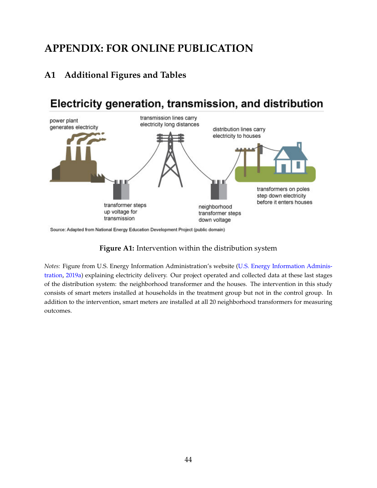# **APPENDIX: FOR ONLINE PUBLICATION**

## **A1 Additional Figures and Tables**

# <span id="page-44-0"></span>Electricity generation, transmission, and distribution



Source: Adapted from National Energy Education Development Project (public domain)

### **Figure A1:** Intervention within the distribution system

*Notes:* Figure from U.S. Energy Information Administration's website [\(U.S. Energy Information Adminis](#page-32-14)[tration,](#page-32-14) [2019a\)](#page-32-14) explaining electricity delivery. Our project operated and collected data at these last stages of the distribution system: the neighborhood transformer and the houses. The intervention in this study consists of smart meters installed at households in the treatment group but not in the control group. In addition to the intervention, smart meters are installed at all 20 neighborhood transformers for measuring outcomes.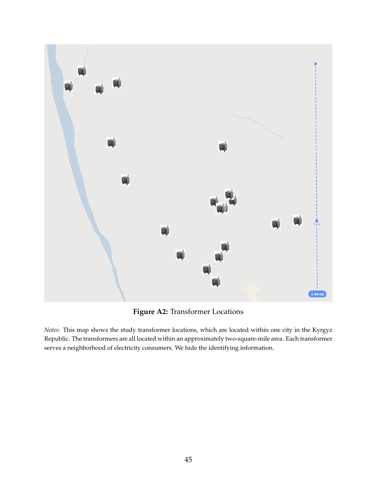<span id="page-45-0"></span>

**Figure A2:** Transformer Locations

*Notes:* This map shows the study transformer locations, which are located within one city in the Kyrgyz Republic. The transformers are all located within an approximately two-square-mile area. Each transformer serves a neighborhood of electricity consumers. We hide the identifying information.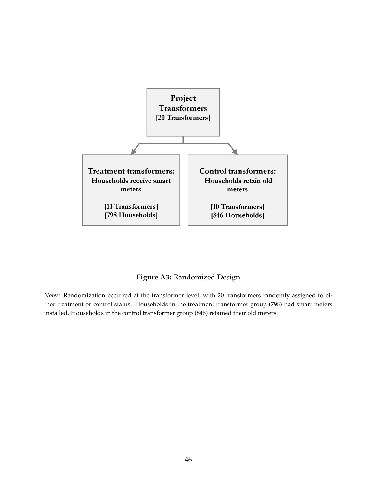<span id="page-46-0"></span>

**Figure A3:** Randomized Design

*Notes:* Randomization occurred at the transformer level, with 20 transformers randomly assigned to either treatment or control status. Households in the treatment transformer group (798) had smart meters installed. Households in the control transformer group (846) retained their old meters.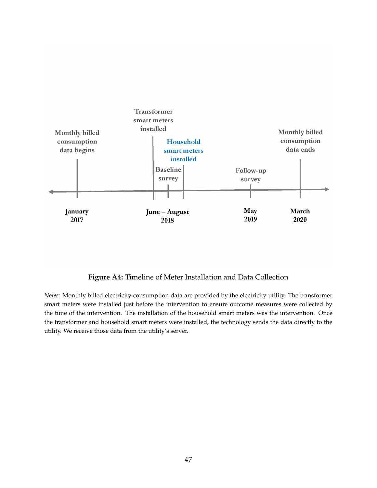<span id="page-47-0"></span>

### **Figure A4:** Timeline of Meter Installation and Data Collection

*Notes:* Monthly billed electricity consumption data are provided by the electricity utility. The transformer smart meters were installed just before the intervention to ensure outcome measures were collected by the time of the intervention. The installation of the household smart meters was the intervention. Once the transformer and household smart meters were installed, the technology sends the data directly to the utility. We receive those data from the utility's server.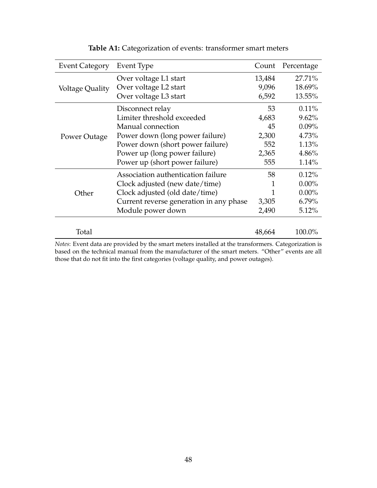<span id="page-48-0"></span>

| <b>Event Category</b> | Event Type                                                                                          | Count  | Percentage |
|-----------------------|-----------------------------------------------------------------------------------------------------|--------|------------|
|                       | Over voltage L1 start                                                                               | 13,484 | 27.71%     |
| Voltage Quality       | Over voltage L2 start                                                                               | 9,096  | 18.69%     |
|                       | Over voltage L3 start                                                                               | 6,592  | 13.55%     |
|                       | Disconnect relay                                                                                    | 53     | $0.11\%$   |
|                       | Limiter threshold exceeded                                                                          | 4,683  | 9.62%      |
|                       | Manual connection                                                                                   | 45     | $0.09\%$   |
| Power Outage          | Power down (long power failure)                                                                     | 2,300  | 4.73%      |
|                       | Power down (short power failure)                                                                    | 552    | 1.13%      |
|                       | Power up (long power failure)                                                                       | 2,365  | 4.86%      |
|                       | Power up (short power failure)                                                                      | 555    | 1.14%      |
|                       | Association authentication failure                                                                  | 58     | 0.12%      |
|                       | Clock adjusted (new date/time)                                                                      | 1      | $0.00\%$   |
| Other                 | Clock adjusted (old date/time)                                                                      | 1      | $0.00\%$   |
|                       | Current reverse generation in any phase                                                             | 3,305  | $6.79\%$   |
|                       | Module power down                                                                                   | 2,490  | 5.12%      |
| Total                 |                                                                                                     | 48,664 | 100.0%     |
|                       | Notes: Evant data are provided by the smart meters installed at the transformers. Categorization is |        |            |

## **Table A1:** Categorization of events: transformer smart meters

*Notes*: Event data are provided by the smart meters installed at the transformers. Categorization is based on the technical manual from the manufacturer of the smart meters. "Other" events are all those that do not fit into the first categories (voltage quality, and power outages).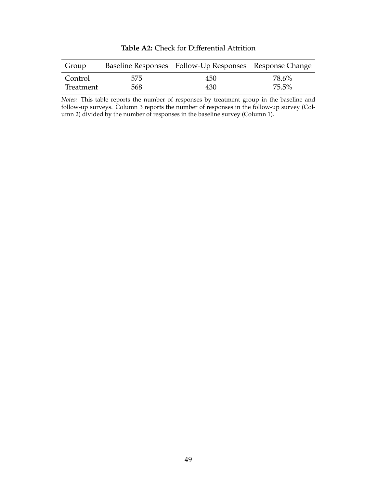<span id="page-49-0"></span>

| Group     |     | Baseline Responses Follow-Up Responses Response Change |          |
|-----------|-----|--------------------------------------------------------|----------|
| Control   | 575 | 450                                                    | 78.6%    |
| Treatment | 568 | 430                                                    | $75.5\%$ |

**Table A2:** Check for Differential Attrition

*Notes:* This table reports the number of responses by treatment group in the baseline and follow-up surveys. Column 3 reports the number of responses in the follow-up survey (Column 2) divided by the number of responses in the baseline survey (Column 1).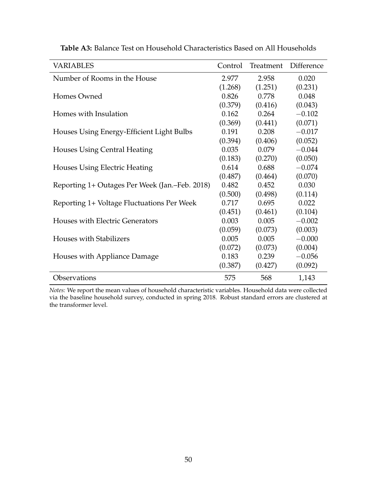| <b>VARIABLES</b>                               | Control | Treatment | Difference |
|------------------------------------------------|---------|-----------|------------|
| Number of Rooms in the House                   | 2.977   | 2.958     | 0.020      |
|                                                | (1.268) | (1.251)   | (0.231)    |
| Homes Owned                                    | 0.826   | 0.778     | 0.048      |
|                                                | (0.379) | (0.416)   | (0.043)    |
| Homes with Insulation                          | 0.162   | 0.264     | $-0.102$   |
|                                                | (0.369) | (0.441)   | (0.071)    |
| Houses Using Energy-Efficient Light Bulbs      | 0.191   | 0.208     | $-0.017$   |
|                                                | (0.394) | (0.406)   | (0.052)    |
| Houses Using Central Heating                   | 0.035   | 0.079     | $-0.044$   |
|                                                | (0.183) | (0.270)   | (0.050)    |
| <b>Houses Using Electric Heating</b>           | 0.614   | 0.688     | $-0.074$   |
|                                                | (0.487) | (0.464)   | (0.070)    |
| Reporting 1+ Outages Per Week (Jan.–Feb. 2018) | 0.482   | 0.452     | 0.030      |
|                                                | (0.500) | (0.498)   | (0.114)    |
| Reporting 1+ Voltage Fluctuations Per Week     | 0.717   | 0.695     | 0.022      |
|                                                | (0.451) | (0.461)   | (0.104)    |
| Houses with Electric Generators                | 0.003   | 0.005     | $-0.002$   |
|                                                | (0.059) | (0.073)   | (0.003)    |
| <b>Houses with Stabilizers</b>                 | 0.005   | 0.005     | $-0.000$   |
|                                                | (0.072) | (0.073)   | (0.004)    |
| Houses with Appliance Damage                   | 0.183   | 0.239     | $-0.056$   |
|                                                | (0.387) | (0.427)   | (0.092)    |
| Observations                                   | 575     | 568       | 1,143      |

<span id="page-50-0"></span>**Table A3:** Balance Test on Household Characteristics Based on All Households

*Notes:* We report the mean values of household characteristic variables. Household data were collected via the baseline household survey, conducted in spring 2018. Robust standard errors are clustered at the transformer level.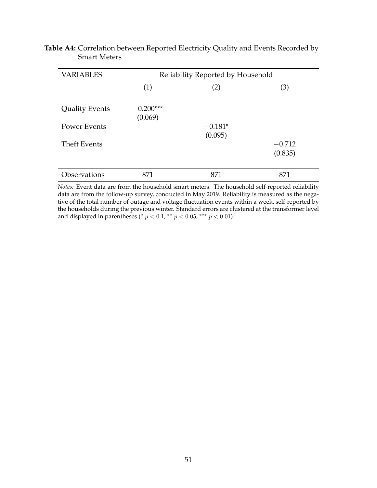<span id="page-51-0"></span>

| <b>Table A4:</b> Correlation between Reported Electricity Quality and Events Recorded by |  |  |
|------------------------------------------------------------------------------------------|--|--|
| <b>Smart Meters</b>                                                                      |  |  |

| <b>VARIABLES</b>      | Reliability Reported by Household |                   |                     |  |  |
|-----------------------|-----------------------------------|-------------------|---------------------|--|--|
|                       | (1)                               | $\left( 2\right)$ | (3)                 |  |  |
| <b>Quality Events</b> | $-0.200***$<br>(0.069)            |                   |                     |  |  |
| <b>Power Events</b>   |                                   | $-0.181*$         |                     |  |  |
| <b>Theft Events</b>   |                                   | (0.095)           | $-0.712$<br>(0.835) |  |  |
| Observations          | 871                               | 871               | 871                 |  |  |

*Notes:* Event data are from the household smart meters. The household self-reported reliability data are from the follow-up survey, conducted in May 2019. Reliability is measured as the negative of the total number of outage and voltage fluctuation events within a week, self-reported by the households during the previous winter. Standard errors are clustered at the transformer level and displayed in parentheses (\*  $p < 0.1$ , \*\*  $p < 0.05$ , \*\*\*  $p < 0.01$ ).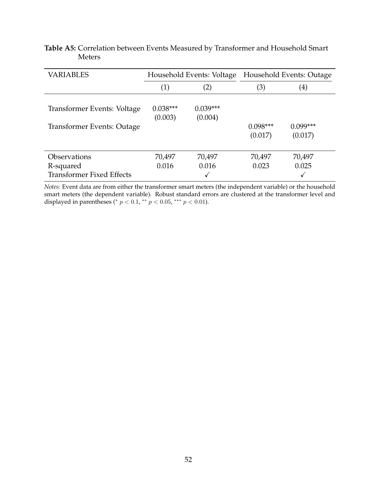<span id="page-52-0"></span>

|               |  | <b>Table A5:</b> Correlation between Events Measured by Transformer and Household Smart |  |
|---------------|--|-----------------------------------------------------------------------------------------|--|
| <b>Meters</b> |  |                                                                                         |  |

| <b>VARIABLES</b>                 |                       |                       | Household Events: Voltage Household Events: Outage |                       |  |
|----------------------------------|-----------------------|-----------------------|----------------------------------------------------|-----------------------|--|
|                                  | (2)<br>(1)            |                       | (3)                                                | (4)                   |  |
| Transformer Events: Voltage      | $0.038***$<br>(0.003) | $0.039***$<br>(0.004) |                                                    |                       |  |
| Transformer Events: Outage       |                       |                       | $0.098***$<br>(0.017)                              | $0.099***$<br>(0.017) |  |
| <b>Observations</b>              | 70,497                | 70,497                | 70,497                                             | 70,497                |  |
| R-squared                        | 0.016                 | 0.016                 | 0.023                                              | 0.025                 |  |
| <b>Transformer Fixed Effects</b> |                       |                       |                                                    |                       |  |

*Notes:* Event data are from either the transformer smart meters (the independent variable) or the household smart meters (the dependent variable). Robust standard errors are clustered at the transformer level and displayed in parentheses (\*  $p < 0.1$ , \*\*  $p < 0.05$ , \*\*\*  $p < 0.01$ ).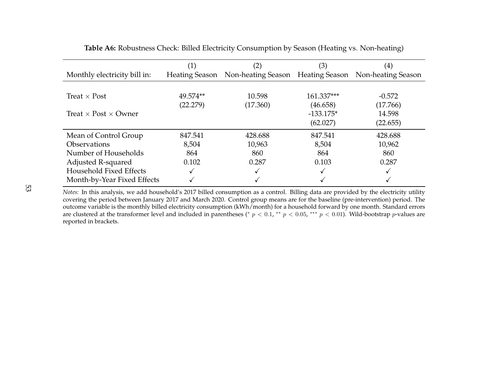|                                    | $\left( 1\right)$ | $\left( 2\right)$                                                   | (3)         | $\left( 4\right)$ |
|------------------------------------|-------------------|---------------------------------------------------------------------|-------------|-------------------|
| Monthly electricity bill in:       |                   | Heating Season Non-heating Season Heating Season Non-heating Season |             |                   |
|                                    |                   |                                                                     |             |                   |
| Treat $\times$ Post                | 49.574**          | 10.598                                                              | 161.337***  | $-0.572$          |
|                                    | (22.279)          | (17.360)                                                            | (46.658)    | (17.766)          |
| Treat $\times$ Post $\times$ Owner |                   |                                                                     | $-133.175*$ | 14.598            |
|                                    |                   |                                                                     | (62.027)    | (22.655)          |
| Mean of Control Group              | 847.541           | 428.688                                                             | 847.541     | 428.688           |
| <b>Observations</b>                | 8,504             | 10,963                                                              | 8,504       | 10,962            |
| Number of Households               | 864               | 860                                                                 | 864         | 860               |
| Adjusted R-squared                 | 0.102             | 0.287                                                               | 0.103       | 0.287             |
| <b>Household Fixed Effects</b>     |                   |                                                                     |             |                   |
| Month-by-Year Fixed Effects        |                   |                                                                     |             |                   |

**Table A6:** Robustness Check: Billed Electricity Consumption by Season (Heating vs. Non-heating)

<span id="page-53-0"></span> *Notes:* In this analysis, we add household's 2017 billed consumption as <sup>a</sup> control. Billing data are provided by the electricity utility covering the period between January 2017 and March 2020. Control group means are for the baseline (pre-intervention) period. The outcome variable is the monthly billed electricity consumption (kWh/month) for <sup>a</sup> household forward by one month. Standard errorsare clustered at the transformer level and included in parentheses (\*  $p < 0.1$ , \*\*  $p < 0.05$ , \*\*\*  $p < 0.01$ ). Wild-bootstrap p-values are reported in brackets.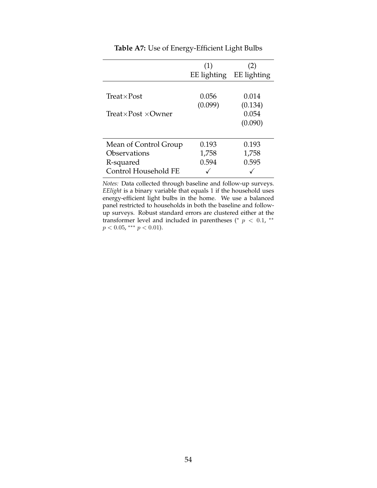<span id="page-54-0"></span>

|                                    | (1)<br>EE lighting | (2)<br>EE lighting |
|------------------------------------|--------------------|--------------------|
| $Treat \times Post$                | 0.056<br>(0.099)   | 0.014<br>(0.134)   |
| Treat $\times$ Post $\times$ Owner |                    | 0.054<br>(0.090)   |
| Mean of Control Group              | 0.193              | 0.193              |
| Observations<br>R-squared          | 1,758<br>0.594     | 1,758<br>0.595     |
| Control Household FE               |                    |                    |

**Table A7:** Use of Energy-Efficient Light Bulbs

*Notes:* Data collected through baseline and follow-up surveys. *EElight* is a binary variable that equals 1 if the household uses energy-efficient light bulbs in the home. We use a balanced panel restricted to households in both the baseline and followup surveys. Robust standard errors are clustered either at the transformer level and included in parentheses (\*  $p < 0.1$ , \*\*  $p < 0.05$ , \*\*\*  $p < 0.01$ ).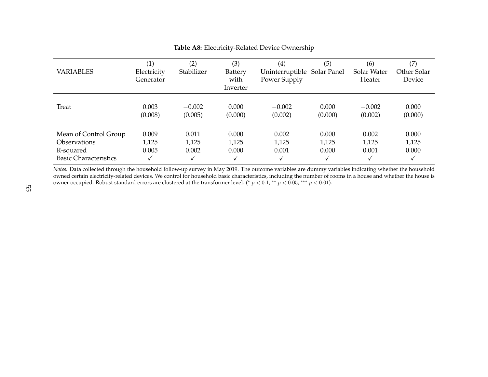| <b>VARIABLES</b>                                                                          | $\left(1\right)$<br>Electricity<br>Generator | $\left( 2\right)$<br>Stabilizer | (3)<br>Battery<br>with<br>Inverter | (4)<br>Uninterruptible Solar Panel<br>Power Supply | (5)                          | (6)<br>Solar Water<br>Heater | (7)<br>Other Solar<br>Device |
|-------------------------------------------------------------------------------------------|----------------------------------------------|---------------------------------|------------------------------------|----------------------------------------------------|------------------------------|------------------------------|------------------------------|
| Treat                                                                                     | 0.003<br>(0.008)                             | $-0.002$<br>(0.005)             | 0.000<br>(0.000)                   | $-0.002$<br>(0.002)                                | 0.000<br>(0.000)             | $-0.002$<br>(0.002)          | 0.000<br>(0.000)             |
| Mean of Control Group<br><b>Observations</b><br>R-squared<br><b>Basic Characteristics</b> | 0.009<br>1,125<br>0.005<br>$\checkmark$      | 0.011<br>1,125<br>0.002         | 0.000<br>1,125<br>0.000            | 0.002<br>1,125<br>0.001<br>√                       | 0.000<br>1,125<br>0.000<br>√ | 0.002<br>1,125<br>0.001      | 0.000<br>1,125<br>0.000<br>√ |

<span id="page-55-0"></span>**Table A8:** Electricity-Related Device Ownership

 *Notes:* Data collected through the household follow-up survey in May 2019. The outcome variables are dummy variables indicating whether the household owned certain electricity-related devices. We control for household basic characteristics, including the number of rooms in <sup>a</sup> house and whether the house isowner occupied. Robust standard errors are clustered at the transformer level. (\*  $p < 0.1$ , \*\*  $p < 0.05$ , \*\*\*  $p < 0.01$ ).<br>
51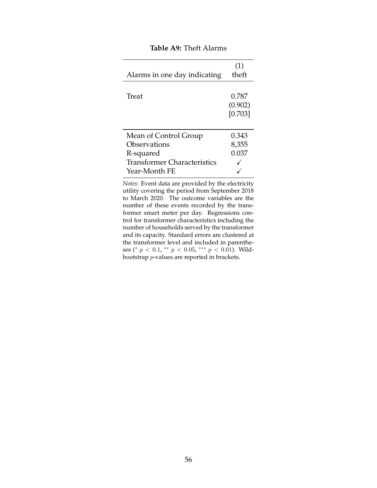<span id="page-56-0"></span>

|                                    | (1)     |
|------------------------------------|---------|
| Alarms in one day indicating       | theft   |
|                                    |         |
| Treat                              | 0.787   |
|                                    | (0.902) |
|                                    | [0.703] |
|                                    |         |
| Mean of Control Group              | 0.343   |
| Observations                       | 8,355   |
| R-squared                          | 0.037   |
| <b>Transformer Characteristics</b> |         |
| Year-Month FE                      |         |

#### **Table A9:** Theft Alarms

*Notes:* Event data are provided by the electricity utility covering the period from September 2018 to March 2020. The outcome variables are the number of these events recorded by the transformer smart meter per day. Regressions control for transformer characteristics including the number of households served by the transformer and its capacity. Standard errors are clustered at the transformer level and included in parentheses (\*  $p < 0.1$ , \*\*  $p < 0.05$ , \*\*\*  $p < 0.01$ ). Wildbootstrap p-values are reported in brackets.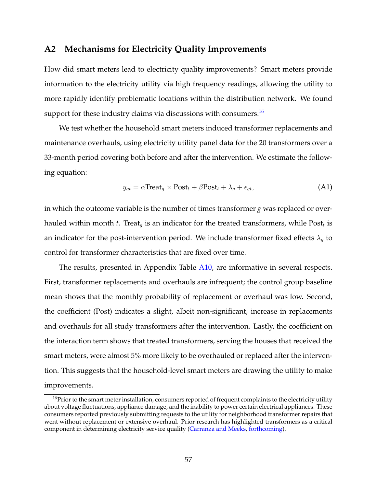### <span id="page-57-0"></span>**A2 Mechanisms for Electricity Quality Improvements**

How did smart meters lead to electricity quality improvements? Smart meters provide information to the electricity utility via high frequency readings, allowing the utility to more rapidly identify problematic locations within the distribution network. We found support for these industry claims via discussions with consumers.<sup>[16](#page-57-1)</sup>

We test whether the household smart meters induced transformer replacements and maintenance overhauls, using electricity utility panel data for the 20 transformers over a 33-month period covering both before and after the intervention. We estimate the following equation:

$$
y_{gt} = \alpha \text{Treeat}_g \times \text{Post}_t + \beta \text{Post}_t + \lambda_g + \epsilon_{gt},\tag{A1}
$$

in which the outcome variable is the number of times transformer *g* was replaced or overhauled within month *t*. Treat<sub>g</sub> is an indicator for the treated transformers, while  $\text{Post}_t$  is an indicator for the post-intervention period. We include transformer fixed effects  $\lambda_q$  to control for transformer characteristics that are fixed over time.

The results, presented in Appendix Table [A10,](#page-59-0) are informative in several respects. First, transformer replacements and overhauls are infrequent; the control group baseline mean shows that the monthly probability of replacement or overhaul was low. Second, the coefficient (Post) indicates a slight, albeit non-significant, increase in replacements and overhauls for all study transformers after the intervention. Lastly, the coefficient on the interaction term shows that treated transformers, serving the houses that received the smart meters, were almost 5% more likely to be overhauled or replaced after the intervention. This suggests that the household-level smart meters are drawing the utility to make improvements.

<span id="page-57-1"></span><sup>&</sup>lt;sup>16</sup>Prior to the smart meter installation, consumers reported of frequent complaints to the electricity utility about voltage fluctuations, appliance damage, and the inability to power certain electrical appliances. These consumers reported previously submitting requests to the utility for neighborhood transformer repairs that went without replacement or extensive overhaul. Prior research has highlighted transformers as a critical component in determining electricity service quality [\(Carranza and Meeks,](#page-29-11) [forthcoming\)](#page-29-11).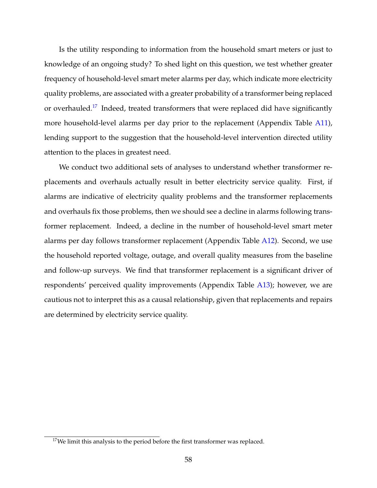Is the utility responding to information from the household smart meters or just to knowledge of an ongoing study? To shed light on this question, we test whether greater frequency of household-level smart meter alarms per day, which indicate more electricity quality problems, are associated with a greater probability of a transformer being replaced or overhauled.<sup>[17](#page-58-0)</sup> Indeed, treated transformers that were replaced did have significantly more household-level alarms per day prior to the replacement (Appendix Table [A11\)](#page-60-0), lending support to the suggestion that the household-level intervention directed utility attention to the places in greatest need.

We conduct two additional sets of analyses to understand whether transformer replacements and overhauls actually result in better electricity service quality. First, if alarms are indicative of electricity quality problems and the transformer replacements and overhauls fix those problems, then we should see a decline in alarms following transformer replacement. Indeed, a decline in the number of household-level smart meter alarms per day follows transformer replacement (Appendix Table [A12\)](#page-61-0). Second, we use the household reported voltage, outage, and overall quality measures from the baseline and follow-up surveys. We find that transformer replacement is a significant driver of respondents' perceived quality improvements (Appendix Table [A13\)](#page-62-0); however, we are cautious not to interpret this as a causal relationship, given that replacements and repairs are determined by electricity service quality.

<span id="page-58-0"></span> $17$ We limit this analysis to the period before the first transformer was replaced.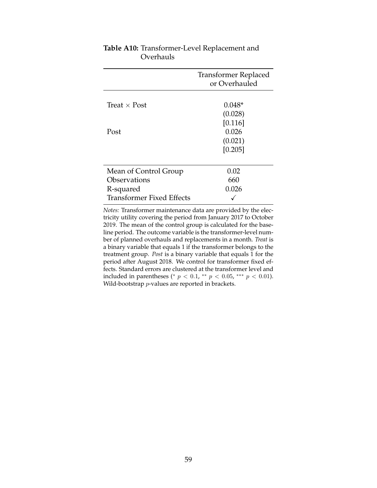|                                       | Transformer Replaced<br>or Overhauled  |
|---------------------------------------|----------------------------------------|
| Treat $\times$ Post                   | $0.048*$<br>(0.028)                    |
| Post                                  | [0.116]<br>0.026<br>(0.021)<br>[0.205] |
|                                       |                                        |
| Mean of Control Group<br>Observations | 0.02<br>660                            |
| R-squared                             | 0.026                                  |
| <b>Transformer Fixed Effects</b>      |                                        |

## <span id="page-59-0"></span>**Table A10:** Transformer-Level Replacement and Overhauls

*Notes:* Transformer maintenance data are provided by the electricity utility covering the period from January 2017 to October 2019. The mean of the control group is calculated for the baseline period. The outcome variable is the transformer-level number of planned overhauls and replacements in a month. *Treat* is a binary variable that equals 1 if the transformer belongs to the treatment group. *Post* is a binary variable that equals 1 for the period after August 2018. We control for transformer fixed effects. Standard errors are clustered at the transformer level and included in parentheses (\*  $p < 0.1$ , \*\*  $p < 0.05$ , \*\*\*  $p < 0.01$ ). Wild-bootstrap *p*-values are reported in brackets.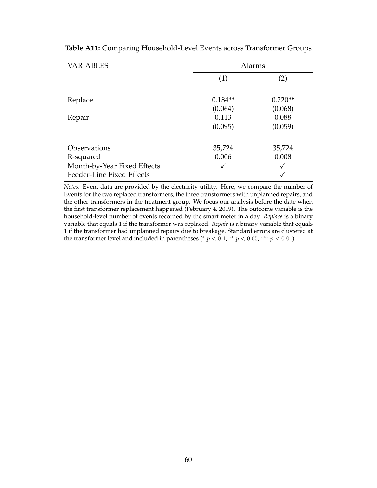| <b>VARIABLES</b>            | Alarms    |           |  |  |
|-----------------------------|-----------|-----------|--|--|
|                             | (1)       | (2)       |  |  |
|                             |           |           |  |  |
| Replace                     | $0.184**$ | $0.220**$ |  |  |
|                             | (0.064)   | (0.068)   |  |  |
| Repair                      | 0.113     | 0.088     |  |  |
|                             | (0.095)   | (0.059)   |  |  |
|                             |           |           |  |  |
| Observations                | 35,724    | 35,724    |  |  |
| R-squared                   | 0.006     | 0.008     |  |  |
| Month-by-Year Fixed Effects | √         |           |  |  |
| Feeder-Line Fixed Effects   |           |           |  |  |

<span id="page-60-0"></span>**Table A11:** Comparing Household-Level Events across Transformer Groups

*Notes:* Event data are provided by the electricity utility. Here, we compare the number of Events for the two replaced transformers, the three transformers with unplanned repairs, and the other transformers in the treatment group. We focus our analysis before the date when the first transformer replacement happened (February 4, 2019). The outcome variable is the household-level number of events recorded by the smart meter in a day. *Replace* is a binary variable that equals 1 if the transformer was replaced. *Repair* is a binary variable that equals 1 if the transformer had unplanned repairs due to breakage. Standard errors are clustered at the transformer level and included in parentheses (\*  $p < 0.1$ , \*\*  $p < 0.05$ , \*\*\*  $p < 0.01$ ).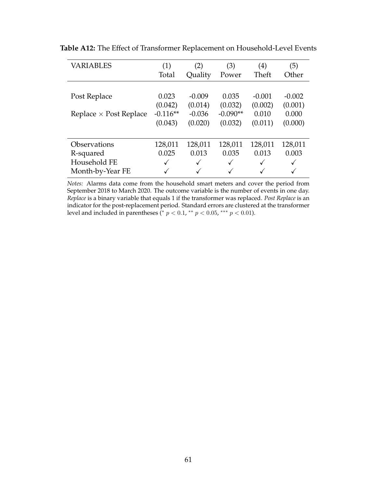| <b>VARIABLES</b>              | (1)<br>(2) |              | (3)          | (4)          | (5)      |  |
|-------------------------------|------------|--------------|--------------|--------------|----------|--|
|                               | Total      | Quality      | Power        | Theft        | Other    |  |
|                               |            |              |              |              |          |  |
| Post Replace                  | 0.023      | $-0.009$     | 0.035        | $-0.001$     | $-0.002$ |  |
|                               | (0.042)    | (0.014)      | (0.032)      | (0.002)      | (0.001)  |  |
| Replace $\times$ Post Replace | $-0.116**$ | $-0.036$     | $-0.090**$   | 0.010        | 0.000    |  |
|                               | (0.043)    | (0.020)      | (0.032)      | (0.011)      | (0.000)  |  |
|                               |            |              |              |              |          |  |
| Observations                  | 128,011    | 128,011      | 128,011      | 128,011      | 128,011  |  |
| R-squared                     | 0.025      | 0.013        | 0.035        | 0.013        | 0.003    |  |
| Household FE                  | ✓          | $\checkmark$ | $\checkmark$ | $\checkmark$ |          |  |
| Month-by-Year FE              |            | $\checkmark$ |              | $\checkmark$ |          |  |

<span id="page-61-0"></span>**Table A12:** The Effect of Transformer Replacement on Household-Level Events

*Notes:* Alarms data come from the household smart meters and cover the period from September 2018 to March 2020. The outcome variable is the number of events in one day. *Replace* is a binary variable that equals 1 if the transformer was replaced. *Post Replace* is an indicator for the post-replacement period. Standard errors are clustered at the transformer level and included in parentheses (\*  $p < 0.1$ , \*\*  $p < 0.05$ , \*\*\*  $p < 0.01$ ).